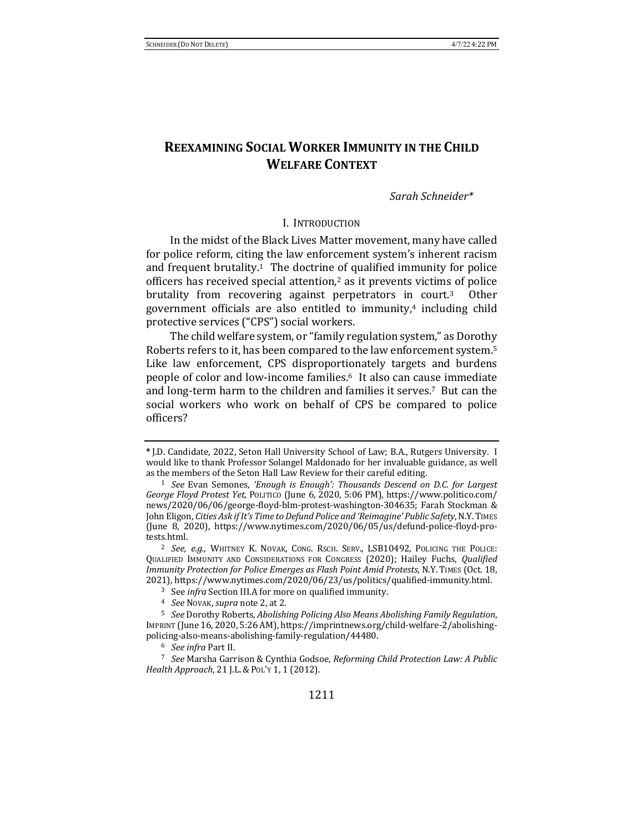# **REEXAMINING SOCIAL WORKER IMMUNITY IN THE CHILD WELFARE CONTEXT**

### *Sarah Schneider\**

### I. INTRODUCTION

In the midst of the Black Lives Matter movement, many have called for police reform, citing the law enforcement system's inherent racism and frequent brutality.<sup>1</sup> The doctrine of qualified immunity for police officers has received special attention, $2$  as it prevents victims of police brutality from recovering against perpetrators in court.<sup>3</sup> Other government officials are also entitled to immunity,<sup>4</sup> including child protective services ("CPS") social workers.

The child welfare system, or "family regulation system," as Dorothy Roberts refers to it, has been compared to the law enforcement system.<sup>5</sup> Like law enforcement, CPS disproportionately targets and burdens people of color and low-income families.<sup>6</sup> It also can cause immediate and long-term harm to the children and families it serves.<sup>7</sup> But can the social workers who work on behalf of CPS be compared to police officers?

<sup>\*</sup> J.D. Candidate, 2022, Seton Hall University School of Law; B.A., Rutgers University. I would like to thank Professor Solangel Maldonado for her invaluable guidance, as well as the members of the Seton Hall Law Review for their careful editing.

<sup>&</sup>lt;sup>1</sup> *See* Evan Semones, 'Enough is Enough': Thousands Descend on D.C. for Largest *George Floyd Protest Yet*, Politico (June 6, 2020, 5:06 PM), https://www.politico.com/ news/2020/06/06/george-floyd-blm-protest-washington-304635; Farah Stockman & John Eligon, *Cities Ask if It's Time to Defund Police and 'Reimagine' Public Safety*, N.Y. TIMES (June 8, 2020), https://www.nytimes.com/2020/06/05/us/defund-police-floyd-protests.html.

<sup>&</sup>lt;sup>2</sup> *See, e.g.*, WHITNEY K. NOVAK, CONG. RSCH. SERV., LSB10492, POLICING THE POLICE: QUALIFIED IMMUNITY AND CONSIDERATIONS FOR CONGRESS (2020); Hailey Fuchs, *Qualified* Immunity Protection for Police Emerges as Flash Point Amid Protests, N.Y. TIMES (Oct. 18, 2021), https://www.nytimes.com/2020/06/23/us/politics/qualified-immunity.html.

<sup>&</sup>lt;sup>3</sup> See *infra* Section III.A for more on qualified immunity.

<sup>&</sup>lt;sup>4</sup> *See* Novak, *supra* note 2, at 2.

<sup>&</sup>lt;sup>5</sup> See Dorothy Roberts, *Abolishing Policing Also Means Abolishing Family Regulation*, IMPRINT (June 16, 2020, 5:26 AM), https://imprintnews.org/child-welfare-2/abolishingpolicing-also-means-abolishing-family-regulation/44480.

<sup>6</sup> *See infra* Part II.

<sup>&</sup>lt;sup>7</sup> See Marsha Garrison & Cynthia Godsoe, *Reforming Child Protection Law: A Public Health Approach*, 21 *J.L. & PoL'y* 1, 1 (2012).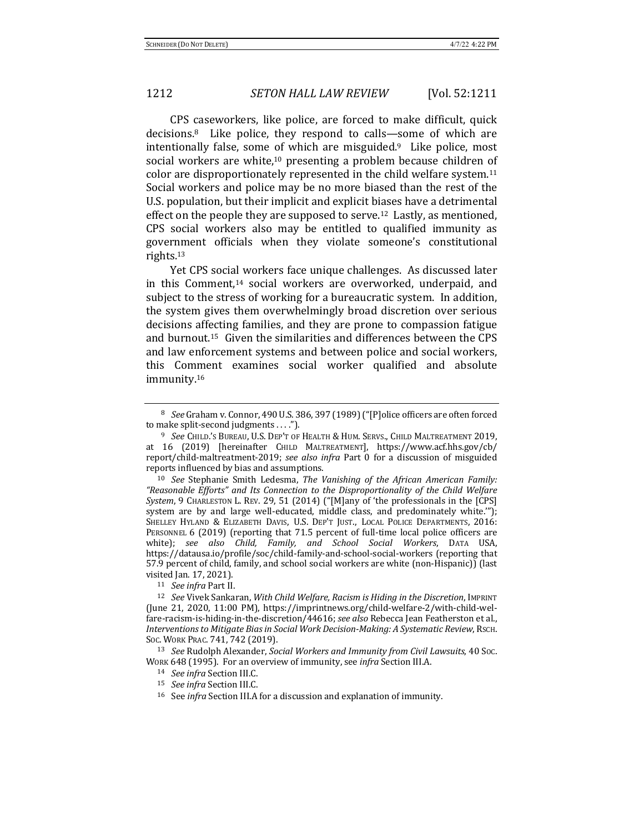CPS caseworkers, like police, are forced to make difficult, quick decisions.<sup>8</sup> Like police, they respond to calls—some of which are intentionally false, some of which are misguided. $9$  Like police, most social workers are white,<sup>10</sup> presenting a problem because children of color are disproportionately represented in the child welfare system.<sup>11</sup> Social workers and police may be no more biased than the rest of the U.S. population, but their implicit and explicit biases have a detrimental effect on the people they are supposed to serve.<sup>12</sup> Lastly, as mentioned, CPS social workers also may be entitled to qualified immunity as government officials when they violate someone's constitutional rights.13 

Yet CPS social workers face unique challenges. As discussed later in this Comment,<sup>14</sup> social workers are overworked, underpaid, and subject to the stress of working for a bureaucratic system. In addition, the system gives them overwhelmingly broad discretion over serious decisions affecting families, and they are prone to compassion fatigue and burnout.<sup>15</sup> Given the similarities and differences between the CPS and law enforcement systems and between police and social workers, this Comment examines social worker qualified and absolute immunity.16

<sup>10</sup> *See* Stephanie Smith Ledesma, *The Vanishing of the African American Family: "Reasonable Efforts" and Its Connection to the Disproportionality of the Child Welfare*  System, 9 CHARLESTON L. REV. 29, 51 (2014) ("[M]any of 'the professionals in the [CPS] system are by and large well-educated, middle class, and predominately white.""); SHELLEY HYLAND & ELIZABETH DAVIS, U.S. DEP'T JUST., LOCAL POLICE DEPARTMENTS, 2016: PERSONNEL 6 (2019) (reporting that 71.5 percent of full-time local police officers are white); see also Child, Family, and School Social Workers, DATA USA, https://datausa.io/profile/soc/child-family-and-school-social-workers (reporting that 57.9 percent of child, family, and school social workers are white (non-Hispanic)) (last visited Jan. 17, 2021).

11 *See infra Part II.* 

12 *See* Vivek Sankaran, *With Child Welfare, Racism is Hiding in the Discretion*, IMPRINT (June 21, 2020, 11:00 PM), https://imprintnews.org/child-welfare-2/with-child-welfare-racism-is-hiding-in-the-discretion/44616; see also Rebecca Jean Featherston et al., Interventions to Mitigate Bias in Social Work Decision-Making: A Systematic Review, RSCH. Soc. WORK PRAC. 741, 742 (2019).

<sup>13</sup> *See* Rudolph Alexander, *Social Workers and Immunity from Civil Lawsuits*, 40 Soc. WORK 648 (1995). For an overview of immunity, see *infra* Section III.A.

<sup>16</sup> See *infra* Section III.A for a discussion and explanation of immunity.

<sup>&</sup>lt;sup>8</sup> *See* Graham v. Connor, 490 U.S. 386, 397 (1989) ("[P]olice officers are often forced to make split-second judgments  $\dots$ ").

<sup>&</sup>lt;sup>9</sup> *See* Child.'s Bureau, U.S. Dep't of Health & Hum. Servs., Child Maltreatment 2019, at 16 (2019) [hereinafter CHILD MALTREATMENT], https://www.acf.hhs.gov/cb/ report/child-maltreatment-2019; see also infra Part 0 for a discussion of misguided reports influenced by bias and assumptions.

<sup>14</sup> *See infra* Section III.C.

<sup>15</sup> *See infra* Section III.C.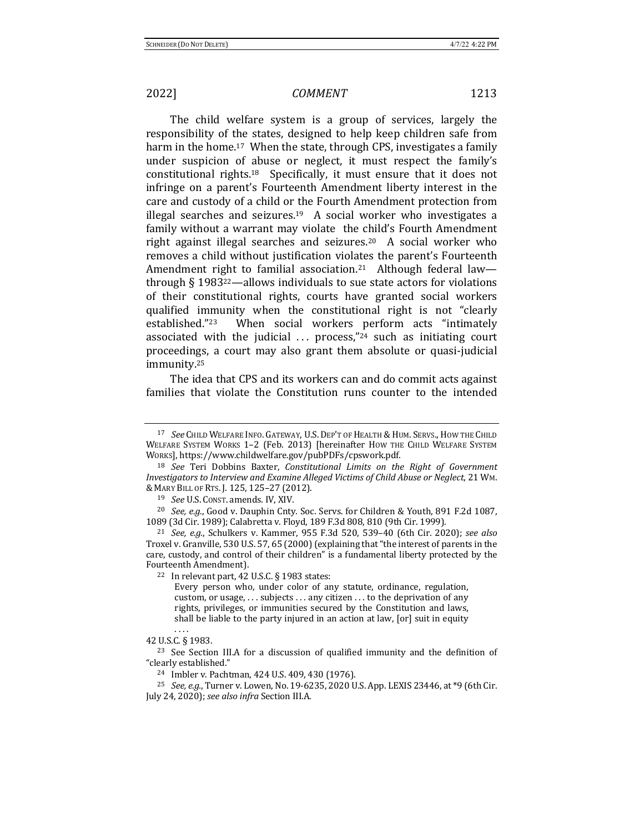The child welfare system is a group of services, largely the responsibility of the states, designed to help keep children safe from harm in the home.<sup>17</sup> When the state, through CPS, investigates a family under suspicion of abuse or neglect, it must respect the family's constitutional rights.<sup>18</sup> Specifically, it must ensure that it does not infringe on a parent's Fourteenth Amendment liberty interest in the care and custody of a child or the Fourth Amendment protection from illegal searches and seizures.<sup>19</sup> A social worker who investigates a family without a warrant may violate the child's Fourth Amendment right against illegal searches and seizures.<sup>20</sup> A social worker who removes a child without justification violates the parent's Fourteenth Amendment right to familial association.<sup>21</sup> Although federal law through  $\S$  1983<sup>22</sup>—allows individuals to sue state actors for violations of their constitutional rights, courts have granted social workers qualified immunity when the constitutional right is not "clearly established."<sup>23</sup> When social workers perform acts "intimately associated with the judicial  $\ldots$  process,"<sup>24</sup> such as initiating court proceedings, a court may also grant them absolute or quasi-judicial immunity.25

The idea that CPS and its workers can and do commit acts against families that violate the Constitution runs counter to the intended

 $22$  In relevant part, 42 U.S.C. § 1983 states:

<sup>&</sup>lt;sup>17</sup> See Child Welfare Info. Gateway, U.S. Dep't of Health & Hum. Servs., How the Child WELFARE SYSTEM WORKS 1-2 (Feb. 2013) [hereinafter How THE CHILD WELFARE SYSTEM WORKS], https://www.childwelfare.gov/pubPDFs/cpswork.pdf.

<sup>&</sup>lt;sup>18</sup> See Teri Dobbins Baxter, *Constitutional Limits on the Right of Government Investigators to Interview and Examine Alleged Victims of Child Abuse or Neglect*, 21 Wm. & MARY BILL OF RTS. J. 125, 125–27 (2012).

<sup>&</sup>lt;sup>19</sup> *See* U.S. Const. amends. IV, XIV.

<sup>&</sup>lt;sup>20</sup> *See, e.g.*, Good v. Dauphin Cnty. Soc. Servs. for Children & Youth, 891 F.2d 1087, 1089 (3d Cir. 1989); Calabretta v. Floyd, 189 F.3d 808, 810 (9th Cir. 1999).

<sup>21</sup> *See, e.g.*, Schulkers v. Kammer, 955 F.3d 520, 539–40 (6th Cir. 2020); *see also* Troxel v. Granville, 530 U.S. 57, 65 (2000) (explaining that "the interest of parents in the care, custody, and control of their children" is a fundamental liberty protected by the Fourteenth Amendment).

Every person who, under color of any statute, ordinance, regulation, custom, or usage,  $\dots$  subjects  $\dots$  any citizen  $\dots$  to the deprivation of any rights, privileges, or immunities secured by the Constitution and laws, shall be liable to the party injured in an action at law, [or] suit in equity

<sup>.</sup> . . . 42 U.S.C. § 1983.

 $23$  See Section III.A for a discussion of qualified immunity and the definition of "clearly established."

 $24$  Imbler v. Pachtman, 424 U.S. 409, 430 (1976).

<sup>&</sup>lt;sup>25</sup> *See, e.g.*, Turner v. Lowen, No. 19-6235, 2020 U.S. App. LEXIS 23446, at \*9 (6th Cir. July 24, 2020); *see also infra* Section III.A.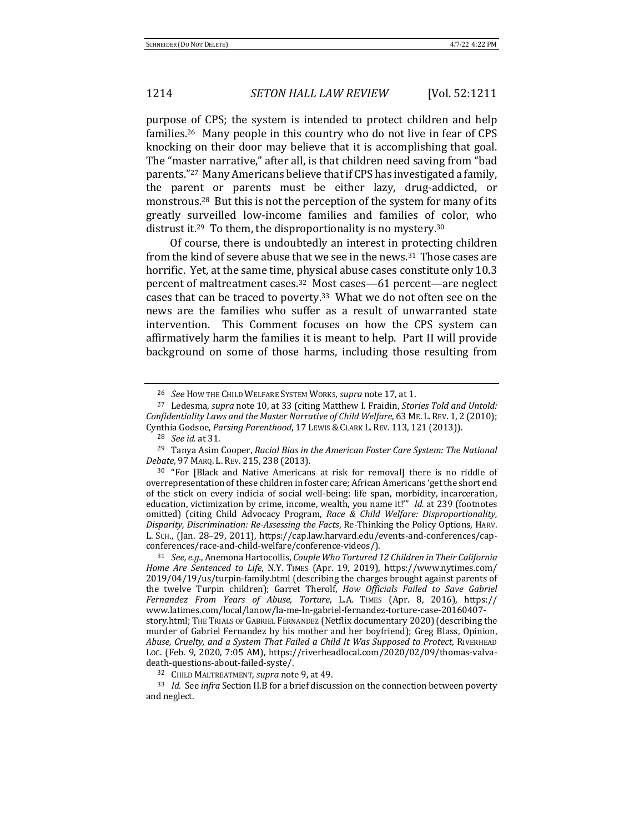purpose of CPS; the system is intended to protect children and help families.<sup>26</sup> Many people in this country who do not live in fear of CPS knocking on their door may believe that it is accomplishing that goal. The "master narrative," after all, is that children need saving from "bad parents."<sup>27</sup> Many Americans believe that if CPS has investigated a family, the parent or parents must be either lazy, drug-addicted, or monstrous.<sup>28</sup> But this is not the perception of the system for many of its greatly surveilled low-income families and families of color, who distrust it.<sup>29</sup> To them, the disproportionality is no mystery.<sup>30</sup>

Of course, there is undoubtedly an interest in protecting children from the kind of severe abuse that we see in the news.<sup>31</sup> Those cases are horrific. Yet, at the same time, physical abuse cases constitute only 10.3 percent of maltreatment cases.<sup>32</sup> Most cases—61 percent—are neglect cases that can be traced to poverty. $33$  What we do not often see on the news are the families who suffer as a result of unwarranted state intervention. This Comment focuses on how the CPS system can affirmatively harm the families it is meant to help. Part II will provide background on some of those harms, including those resulting from

<sup>&</sup>lt;sup>26</sup> *See* How THE CHILD WELFARE SYSTEM WORKS, *supra* note 17, at 1.

<sup>&</sup>lt;sup>27</sup> Ledesma, *supra* note 10, at 33 (citing Matthew I. Fraidin, *Stories Told and Untold:* Confidentiality Laws and the Master Narrative of Child Welfare, 63 ME. L. REV. 1, 2 (2010); Cynthia Godsoe, *Parsing Parenthood*, 17 LEWIS & CLARK L. REV. 113, 121 (2013)).

<sup>28</sup> *See id.* at 31.

<sup>&</sup>lt;sup>29</sup> Tanya Asim Cooper, *Racial Bias in the American Foster Care System: The National Debate*, 97 MARQ. L. REV. 215, 238 (2013).

 $30$  "For [Black and Native Americans at risk for removal] there is no riddle of overrepresentation of these children in foster care; African Americans 'get the short end of the stick on every indicia of social well-being: life span, morbidity, incarceration, education, victimization by crime, income, wealth, you name it!"" *Id.* at 239 (footnotes omitted) (citing Child Advocacy Program, *Race & Child Welfare: Disproportionality*, *Disparity, Discrimination: Re-Assessing the Facts*, Re-Thinking the Policy Options, HARV. L. SCH., (Jan. 28–29, 2011), https://cap.law.harvard.edu/events-and-conferences/capconferences/race-and-child-welfare/conference-videos/).

<sup>&</sup>lt;sup>31</sup> *See, e.g.*, Anemona Hartocollis, *Couple Who Tortured 12 Children in Their California Home Are Sentenced to Life*, N.Y. TIMES (Apr. 19, 2019), https://www.nytimes.com/  $2019/04/19/$ us/turpin-family.html (describing the charges brought against parents of the twelve Turpin children); Garret Therolf, *How Officials Failed to Save Gabriel Fernandez From Years of Abuse, Torture*, L.A. TIMES (Apr. 8, 2016), https:// www.latimes.com/local/lanow/la-me-ln-gabriel-fernandez-torture-case-20160407 story.html; THE TRIALS OF GABRIEL FERNANDEZ (Netflix documentary 2020) (describing the murder of Gabriel Fernandez by his mother and her boyfriend); Greg Blass, Opinion, Abuse, Cruelty, and a System That Failed a Child It Was Supposed to Protect, RIVERHEAD Loc. (Feb. 9, 2020, 7:05 AM), https://riverheadlocal.com/2020/02/09/thomas-valvadeath-questions-about-failed-syste/.

<sup>32</sup> CHILD MALTREATMENT, *supra* note 9, at 49.

<sup>33</sup> *Id.* See *infra* Section II.B for a brief discussion on the connection between poverty and neglect.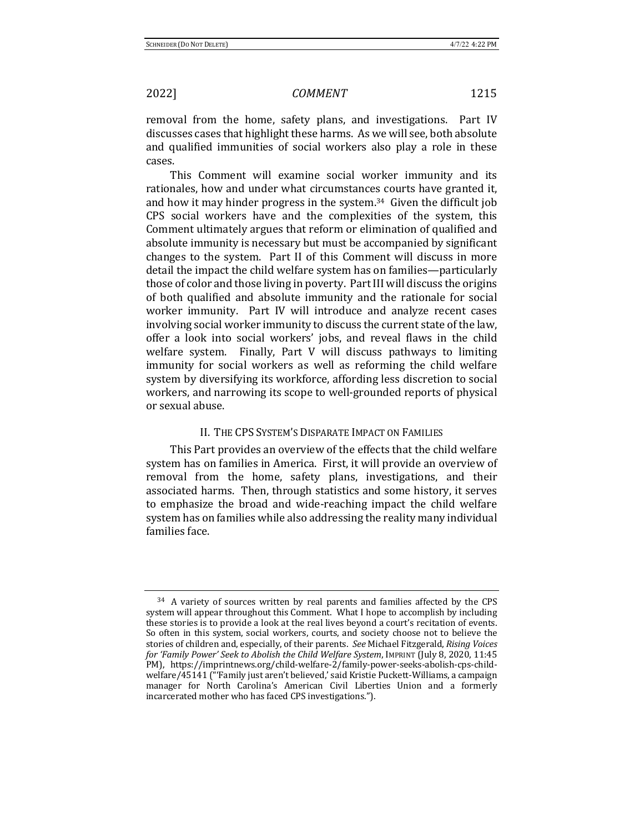removal from the home, safety plans, and investigations. Part IV discusses cases that highlight these harms. As we will see, both absolute and qualified immunities of social workers also play a role in these cases.

This Comment will examine social worker immunity and its rationales, how and under what circumstances courts have granted it, and how it may hinder progress in the system.<sup>34</sup> Given the difficult job CPS social workers have and the complexities of the system, this Comment ultimately argues that reform or elimination of qualified and absolute immunity is necessary but must be accompanied by significant changes to the system. Part II of this Comment will discuss in more detail the impact the child welfare system has on families—particularly those of color and those living in poverty. Part III will discuss the origins of both qualified and absolute immunity and the rationale for social worker immunity. Part IV will introduce and analyze recent cases involving social worker immunity to discuss the current state of the law, offer a look into social workers' jobs, and reveal flaws in the child welfare system. Finally, Part V will discuss pathways to limiting immunity for social workers as well as reforming the child welfare system by diversifying its workforce, affording less discretion to social workers, and narrowing its scope to well-grounded reports of physical or sexual abuse.

## II. THE CPS SYSTEM'S DISPARATE IMPACT ON FAMILIES

This Part provides an overview of the effects that the child welfare system has on families in America. First, it will provide an overview of removal from the home, safety plans, investigations, and their associated harms. Then, through statistics and some history, it serves to emphasize the broad and wide-reaching impact the child welfare system has on families while also addressing the reality many individual families face.

<sup>&</sup>lt;sup>34</sup> A variety of sources written by real parents and families affected by the CPS system will appear throughout this Comment. What I hope to accomplish by including these stories is to provide a look at the real lives beyond a court's recitation of events. So often in this system, social workers, courts, and society choose not to believe the stories of children and, especially, of their parents. *See* Michael Fitzgerald, *Rising Voices* for 'Family Power' Seek to Abolish the Child Welfare System, IMPRINT (July 8, 2020, 11:45 PM), https://imprintnews.org/child-welfare-2/family-power-seeks-abolish-cps-childwelfare/45141 ("'Family just aren't believed,' said Kristie Puckett-Williams, a campaign manager for North Carolina's American Civil Liberties Union and a formerly incarcerated mother who has faced CPS investigations.").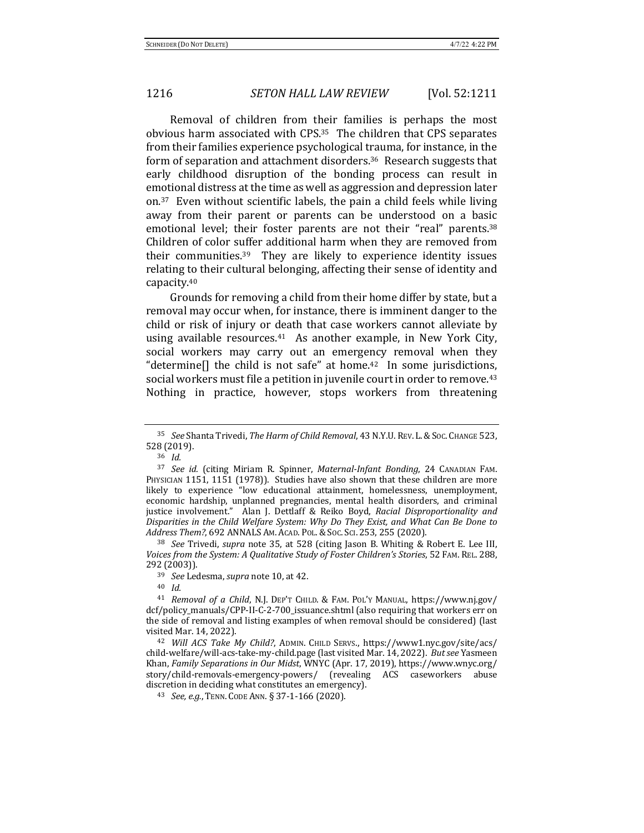Removal of children from their families is perhaps the most obvious harm associated with CPS.<sup>35</sup> The children that CPS separates from their families experience psychological trauma, for instance, in the form of separation and attachment disorders.<sup>36</sup> Research suggests that early childhood disruption of the bonding process can result in emotional distress at the time as well as aggression and depression later on.<sup>37</sup> Even without scientific labels, the pain a child feels while living away from their parent or parents can be understood on a basic emotional level; their foster parents are not their "real" parents.<sup>38</sup> Children of color suffer additional harm when they are removed from their communities. $39$  They are likely to experience identity issues relating to their cultural belonging, affecting their sense of identity and capacity.40

Grounds for removing a child from their home differ by state, but a removal may occur when, for instance, there is imminent danger to the child or risk of injury or death that case workers cannot alleviate by using available resources.<sup>41</sup> As another example, in New York City, social workers may carry out an emergency removal when they "determine $\lceil \cdot \rceil$  the child is not safe" at home.<sup>42</sup> In some jurisdictions, social workers must file a petition in juvenile court in order to remove.<sup>43</sup> Nothing in practice, however, stops workers from threatening

<sup>38</sup> See Trivedi, *supra* note 35, at 528 (citing Jason B. Whiting & Robert E. Lee III, Voices from the System: A Qualitative Study of Foster Children's Stories, 52 FAM. REL. 288, 292 (2003)). 

39 *See* Ledesma, *supra* note 10, at 42.

<sup>40</sup> *Id.*

<sup>35</sup> *See* Shanta Trivedi, *The Harm of Child Removal*, 43 N.Y.U.REV. L.&SOC. CHANGE 523, 528 (2019). 

<sup>36</sup> *Id.*

<sup>37</sup> See id. (citing Miriam R. Spinner, *Maternal-Infant Bonding*, 24 CANADIAN FAM. PHYSICIAN 1151, 1151 (1978)). Studies have also shown that these children are more likely to experience "low educational attainment, homelessness, unemployment, economic hardship, unplanned pregnancies, mental health disorders, and criminal justice involvement." Alan J. Dettlaff & Reiko Boyd, *Racial Disproportionality and* Disparities in the Child Welfare System: Why Do They Exist, and What Can Be Done to *Address Them?*, 692 ANNALS AM. ACAD. POL.&SOC. SCI. 253, 255 (2020).

<sup>&</sup>lt;sup>41</sup> *Removal of a Child*, N.J. DEP'T CHILD. & FAM. POL'Y MANUAL, https://www.nj.gov/ dcf/policy\_manuals/CPP-II-C-2-700\_issuance.shtml (also requiring that workers err on the side of removal and listing examples of when removal should be considered) (last visited Mar. 14, 2022).

<sup>&</sup>lt;sup>42</sup> Will ACS Take My Child?, ADMIN. CHILD SERVS., https://www1.nyc.gov/site/acs/ child-welfare/will-acs-take-my-child.page (last visited Mar. 14, 2022). But see Yasmeen Khan, *Family Separations in Our Midst*, WNYC (Apr. 17, 2019), https://www.wnyc.org/ story/child-removals-emergency-powers/ (revealing ACS caseworkers abuse discretion in deciding what constitutes an emergency).

<sup>43</sup> *See, e.g.*, TENN. CODE ANN. § 37-1-166 (2020).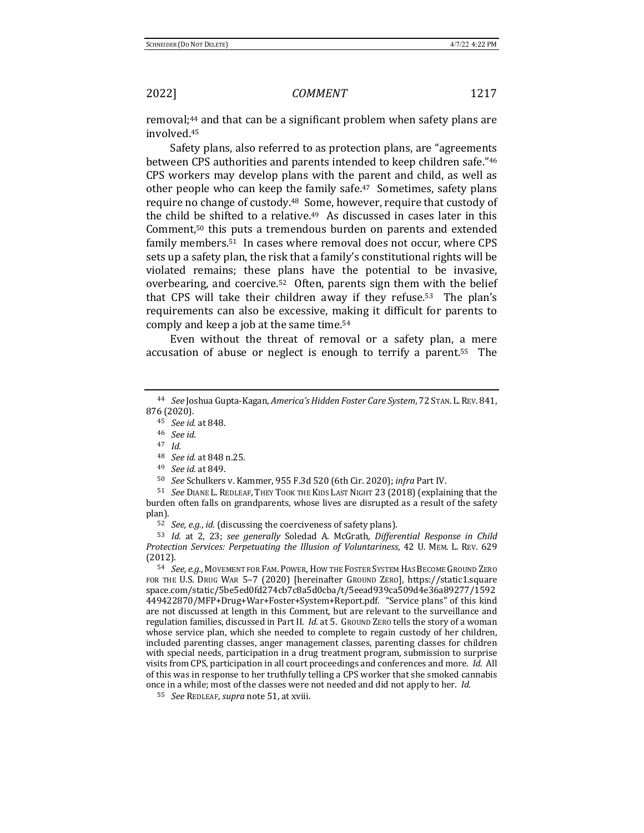removal;<sup>44</sup> and that can be a significant problem when safety plans are involved.45

Safety plans, also referred to as protection plans, are "agreements" between CPS authorities and parents intended to keep children safe."46 CPS workers may develop plans with the parent and child, as well as other people who can keep the family safe.<sup>47</sup> Sometimes, safety plans require no change of custody.<sup>48</sup> Some, however, require that custody of the child be shifted to a relative.<sup>49</sup> As discussed in cases later in this Comment, $50$  this puts a tremendous burden on parents and extended family members.<sup>51</sup> In cases where removal does not occur, where CPS sets up a safety plan, the risk that a family's constitutional rights will be violated remains; these plans have the potential to be invasive, overbearing, and coercive.<sup>52</sup> Often, parents sign them with the belief that CPS will take their children away if they refuse.<sup>53</sup> The plan's requirements can also be excessive, making it difficult for parents to comply and keep a job at the same time.<sup>54</sup>

Even without the threat of removal or a safety plan, a mere accusation of abuse or neglect is enough to terrify a parent.<sup>55</sup> The

<sup>47</sup> *Id.*

<sup>49</sup> *See id.* at 849.

<sup>51</sup> *See* DIANE L. REDLEAF, THEY TOOK THE KIDS LAST NIGHT 23 (2018) (explaining that the burden often falls on grandparents, whose lives are disrupted as a result of the safety plan).

52 *See, e.g., id.* (discussing the coerciveness of safety plans).

53 *Id.* at 2, 23; see generally Soledad A. McGrath, Differential Response in Child *Protection Services: Perpetuating the Illusion of Voluntariness*, 42 U. MEM. L. REV. 629 (2012).

54 *See, e.g.*, MOVEMENT FOR FAM. POWER, HOW THE FOSTER SYSTEM HAS BECOME GROUND ZERO FOR THE U.S. DRUG WAR 5-7 (2020) [hereinafter GROUND ZERO], https://static1.square space.com/static/5be5ed0fd274cb7c8a5d0cba/t/5eead939ca509d4e36a89277/1592 449422870/MFP+Drug+War+Foster+System+Report.pdf. "Service plans" of this kind are not discussed at length in this Comment, but are relevant to the surveillance and regulation families, discussed in Part II. *Id.* at 5. Ground Zero tells the story of a woman whose service plan, which she needed to complete to regain custody of her children, included parenting classes, anger management classes, parenting classes for children with special needs, participation in a drug treatment program, submission to surprise visits from CPS, participation in all court proceedings and conferences and more. *Id.* All of this was in response to her truthfully telling a CPS worker that she smoked cannabis once in a while; most of the classes were not needed and did not apply to her. *Id.* 

55 *See* REDLEAF, *supra* note 51, at xviii.

<sup>44</sup> *See* Joshua Gupta-Kagan, *America's Hidden Foster Care System*, 72 STAN. L. REV. 841, 876 (2020).

<sup>45</sup> *See id.* at 848.

<sup>46</sup> *See id*.

<sup>48</sup> *See id.* at 848 n.25.

<sup>&</sup>lt;sup>50</sup> *See* Schulkers v. Kammer, 955 F.3d 520 (6th Cir. 2020); *infra* Part IV.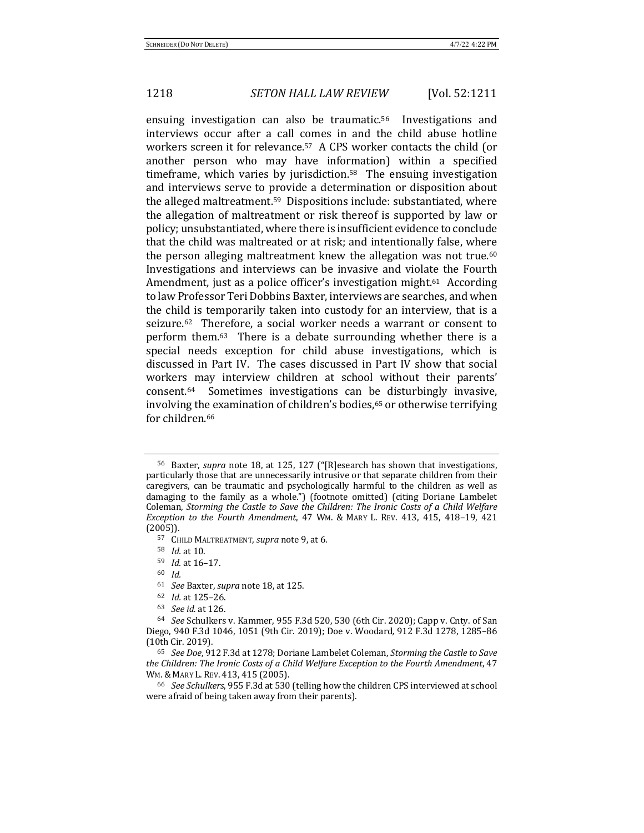ensuing investigation can also be traumatic.<sup>56</sup> Investigations and interviews occur after a call comes in and the child abuse hotline workers screen it for relevance.<sup>57</sup> A CPS worker contacts the child (or another person who may have information) within a specified timeframe, which varies by jurisdiction.<sup>58</sup> The ensuing investigation and interviews serve to provide a determination or disposition about the alleged maltreatment.<sup>59</sup> Dispositions include: substantiated, where the allegation of maltreatment or risk thereof is supported by law or policy; unsubstantiated, where there is insufficient evidence to conclude that the child was maltreated or at risk; and intentionally false, where the person alleging maltreatment knew the allegation was not true.<sup>60</sup> Investigations and interviews can be invasive and violate the Fourth Amendment, just as a police officer's investigation might.<sup>61</sup> According to law Professor Teri Dobbins Baxter, interviews are searches, and when the child is temporarily taken into custody for an interview, that is a seizure.<sup>62</sup> Therefore, a social worker needs a warrant or consent to perform them. $63$  There is a debate surrounding whether there is a special needs exception for child abuse investigations, which is discussed in Part IV. The cases discussed in Part IV show that social workers may interview children at school without their parents' consent.64 Sometimes investigations can be disturbingly invasive, involving the examination of children's bodies,<sup>65</sup> or otherwise terrifying for children.<sup>66</sup>

<sup>60</sup> *Id.*

<sup>61</sup> *See* Baxter, *supra* note 18, at 125.

<sup>&</sup>lt;sup>56</sup> Baxter, *supra* note 18, at 125, 127 ("[R]esearch has shown that investigations, particularly those that are unnecessarily intrusive or that separate children from their caregivers, can be traumatic and psychologically harmful to the children as well as damaging to the family as a whole.") (footnote omitted) (citing Doriane Lambelet Coleman, *Storming the Castle to Save the Children: The Ironic Costs of a Child Welfare Exception to the Fourth Amendment*, 47 WM. & MARY L. REV. 413, 415, 418–19, 421 (2005)).

<sup>57</sup> CHILD MALTREATMENT, *supra* note 9, at 6.

<sup>58</sup> *Id.* at 10.

<sup>59</sup> *Id.* at 16-17.

<sup>62</sup> *Id.* at 125–26.

<sup>63</sup> *See id.* at 126.

<sup>&</sup>lt;sup>64</sup> *See* Schulkers v. Kammer, 955 F.3d 520, 530 (6th Cir. 2020); Capp v. Cnty. of San Diego, 940 F.3d 1046, 1051 (9th Cir. 2019); Doe v. Woodard, 912 F.3d 1278, 1285-86 (10th Cir. 2019).

<sup>65</sup> *See Doe*, 912 F.3d at 1278; Doriane Lambelet Coleman, *Storming the Castle to Save*  the Children: The Ironic Costs of a Child Welfare Exception to the Fourth Amendment, 47 WM. & MARY L. REV. 413, 415 (2005).

<sup>&</sup>lt;sup>66</sup> See Schulkers, 955 F.3d at 530 (telling how the children CPS interviewed at school were afraid of being taken away from their parents).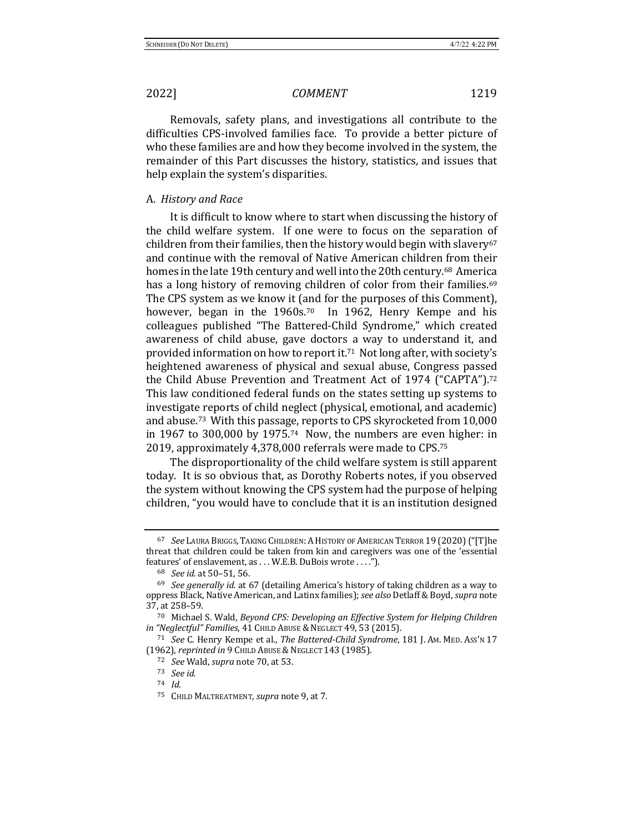Removals, safety plans, and investigations all contribute to the difficulties CPS-involved families face. To provide a better picture of who these families are and how they become involved in the system, the remainder of this Part discusses the history, statistics, and issues that help explain the system's disparities.

### A. *History and Race*

It is difficult to know where to start when discussing the history of the child welfare system. If one were to focus on the separation of children from their families, then the history would begin with slavery<sup>67</sup> and continue with the removal of Native American children from their homes in the late 19th century and well into the 20th century.<sup>68</sup> America has a long history of removing children of color from their families.<sup>69</sup> The CPS system as we know it (and for the purposes of this Comment), however, began in the  $1960s$ .<sup>70</sup> In 1962, Henry Kempe and his colleagues published "The Battered-Child Syndrome," which created awareness of child abuse, gave doctors a way to understand it, and provided information on how to report it.<sup>71</sup> Not long after, with society's heightened awareness of physical and sexual abuse, Congress passed the Child Abuse Prevention and Treatment Act of 1974 ("CAPTA").<sup>72</sup> This law conditioned federal funds on the states setting up systems to investigate reports of child neglect (physical, emotional, and academic) and abuse.<sup>73</sup> With this passage, reports to CPS skyrocketed from 10,000 in 1967 to 300,000 by 1975.<sup>74</sup> Now, the numbers are even higher: in 2019, approximately 4,378,000 referrals were made to CPS.<sup>75</sup>

The disproportionality of the child welfare system is still apparent today. It is so obvious that, as Dorothy Roberts notes, if you observed the system without knowing the CPS system had the purpose of helping children, "you would have to conclude that it is an institution designed

<sup>&</sup>lt;sup>67</sup> See Laura Briggs, Taking Children: A History of American Terror 19 (2020) ("[T]he threat that children could be taken from kin and caregivers was one of the 'essential features' of enslavement, as . . . W.E.B. DuBois wrote . . . .").

<sup>68</sup> *See id.* at 50-51, 56.

<sup>&</sup>lt;sup>69</sup> See generally id. at 67 (detailing America's history of taking children as a way to oppress Black, Native American, and Latinx families); see also Detlaff & Boyd, supra note 37, at 258-59.

<sup>&</sup>lt;sup>70</sup> Michael S. Wald, *Beyond CPS: Developing an Effective System for Helping Children in* "Neglectful" Families, 41 CHILD ABUSE & NEGLECT 49, 53 (2015).

<sup>71</sup> *See* C. Henry Kempe et al., *The Battered-Child Syndrome*, 181 J. AM. MED. Ass'n 17 (1962), *reprinted in* 9 CHILD ABUSE & NEGLECT 143 (1985).

<sup>72</sup> *See* Wald, *supra* note 70, at 53.

<sup>73</sup> *See id.*

<sup>74</sup> *Id.*

<sup>75</sup> CHILD MALTREATMENT, *supra* note 9, at 7.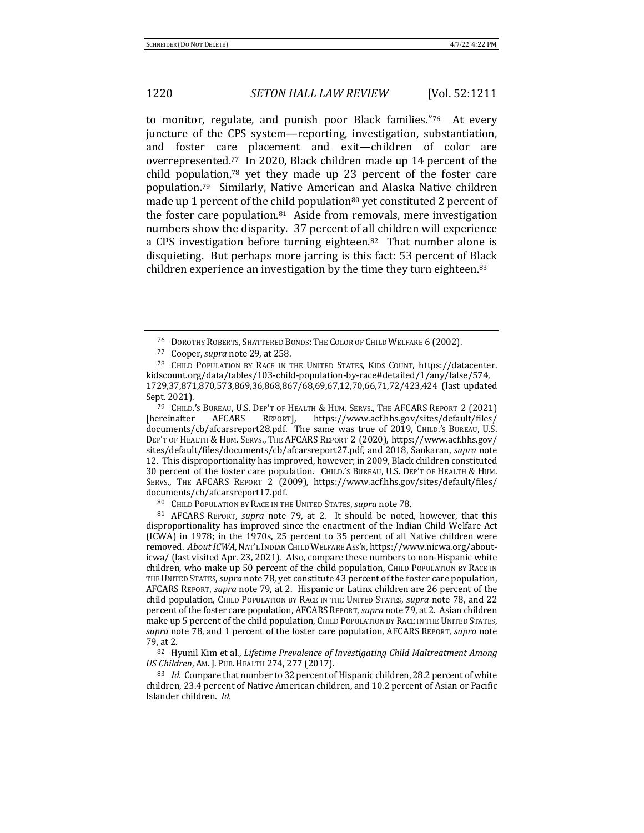to monitor, regulate, and punish poor Black families."<sup>76</sup> At every juncture of the CPS system—reporting, investigation, substantiation, and foster care placement and exit—children of color are overrepresented.<sup>77</sup> In 2020, Black children made up 14 percent of the child population, $78$  yet they made up 23 percent of the foster care population.<sup>79</sup> Similarly, Native American and Alaska Native children made up 1 percent of the child population<sup>80</sup> yet constituted 2 percent of the foster care population. $81$  Aside from removals, mere investigation numbers show the disparity. 37 percent of all children will experience a CPS investigation before turning eighteen.<sup>82</sup> That number alone is disquieting. But perhaps more jarring is this fact: 53 percent of Black children experience an investigation by the time they turn eighteen.<sup>83</sup>

<sup>79</sup> CHILD.'S BUREAU, U.S. DEP'T OF HEALTH & HUM. SERVS., THE AFCARS REPORT 2 (2021) [hereinafter AFCARS REPORT], https://www.acf.hhs.gov/sites/default/files/ documents/cb/afcarsreport28.pdf. The same was true of 2019, CHILD.'s BUREAU, U.S. DEP'T OF HEALTH & HUM. SERVS., THE AFCARS REPORT 2 (2020), https://www.acf.hhs.gov/ sites/default/files/documents/cb/afcarsreport27.pdf, and 2018, Sankaran, *supra* note 12. This disproportionality has improved, however; in 2009, Black children constituted 30 percent of the foster care population. CHILD.'S BUREAU, U.S. DEP'T OF HEALTH & HUM. SERVS., THE AFCARS REPORT 2 (2009), https://www.acf.hhs.gov/sites/default/files/ documents/cb/afcarsreport17.pdf. 

81 AFCARS REPORT, *supra* note 79, at 2. It should be noted, however, that this disproportionality has improved since the enactment of the Indian Child Welfare Act (ICWA) in 1978; in the 1970s, 25 percent to 35 percent of all Native children were removed. About ICWA, NAT'L INDIAN CHILD WELFARE Ass'N, https://www.nicwa.org/abouticwa/ (last visited Apr. 23, 2021). Also, compare these numbers to non-Hispanic white children, who make up 50 percent of the child population, CHILD POPULATION BY RACE IN THE UNITED STATES, *supra* note 78, yet constitute 43 percent of the foster care population, AFCARS REPORT, *supra* note 79, at 2. Hispanic or Latinx children are 26 percent of the child population, CHILD POPULATION BY RACE IN THE UNITED STATES, *supra* note 78, and 22 percent of the foster care population, AFCARS REPORT, *supra* note 79, at 2. Asian children make up 5 percent of the child population, CHILD POPULATION BY RACE IN THE UNITED STATES, *supra* note 78, and 1 percent of the foster care population, AFCARS REPORT, *supra* note 79, at 2. 

82 Hyunil Kim et al., *Lifetime Prevalence of Investigating Child Maltreatment Among US Children, AM. J. PUB. HEALTH 274, 277 (2017).* 

<sup>83</sup> *Id.* Compare that number to 32 percent of Hispanic children, 28.2 percent of white children, 23.4 percent of Native American children, and 10.2 percent of Asian or Pacific Islander children. *Id.* 

<sup>&</sup>lt;sup>76</sup> DOROTHY ROBERTS, SHATTERED BONDS: THE COLOR OF CHILD WELFARE 6 (2002).

<sup>77</sup> Cooper, *supra* note 29, at 258.

<sup>&</sup>lt;sup>78</sup> CHILD POPULATION BY RACE IN THE UNITED STATES, KIDS COUNT, https://datacenter. kidscount.org/data/tables/103-child-population-by-race#detailed/1/any/false/574, 1729,37,871,870,573,869,36,868,867/68,69,67,12,70,66,71,72/423,424 (last updated Sept. 2021).

<sup>80</sup> CHILD POPULATION BY RACE IN THE UNITED STATES, *supra* note 78.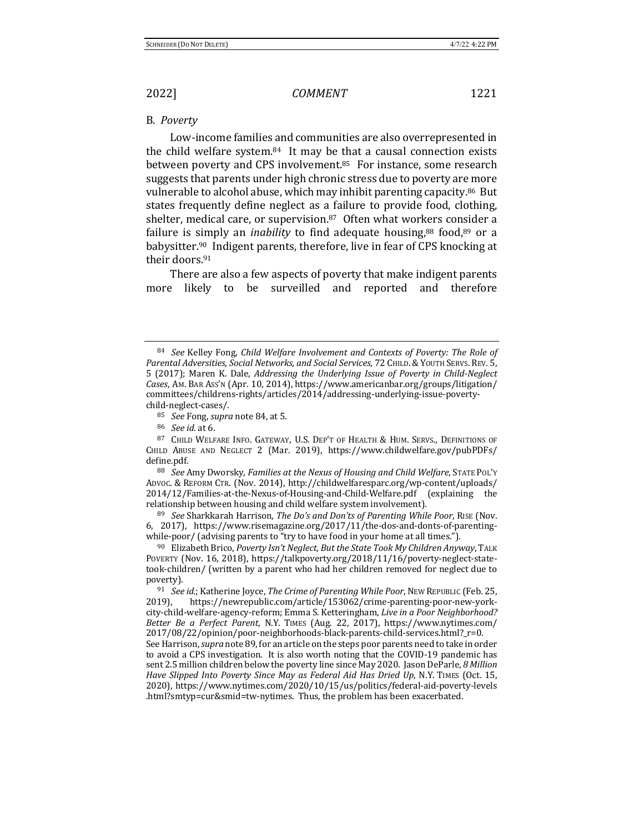### B. *Poverty*

Low-income families and communities are also overrepresented in the child welfare system. $84$  It may be that a causal connection exists between poverty and CPS involvement.<sup>85</sup> For instance, some research suggests that parents under high chronic stress due to poverty are more vulnerable to alcohol abuse, which may inhibit parenting capacity.<sup>86</sup> But states frequently define neglect as a failure to provide food, clothing, shelter, medical care, or supervision. $87$  Often what workers consider a failure is simply an *inability* to find adequate housing, $88 \text{ food}, 89 \text{ or a}$ babysitter.<sup>90</sup> Indigent parents, therefore, live in fear of CPS knocking at their doors.<sup>91</sup>

There are also a few aspects of poverty that make indigent parents more likely to be surveilled and reported and therefore

<sup>84</sup> *See* Kelley Fong, *Child Welfare Involvement and Contexts of Poverty: The Role of* Parental Adversities, Social Networks, and Social Services, 72 CHILD. & YOUTH SERVS. REV. 5, 5 (2017); Maren K. Dale, *Addressing the Underlying Issue of Poverty in Child-Neglect* Cases, Am. BAR Ass'N (Apr. 10, 2014), https://www.americanbar.org/groups/litigation/ committees/childrens-rights/articles/2014/addressing-underlying-issue-povertychild-neglect-cases/. 

<sup>85</sup> *See* Fong, *supra* note 84, at 5.

<sup>86</sup> *See id.* at 6.

<sup>87</sup> CHILD WELFARE INFO. GATEWAY, U.S. DEP'T OF HEALTH & HUM. SERVS., DEFINITIONS OF CHILD ABUSE AND NEGLECT 2 (Mar. 2019), https://www.childwelfare.gov/pubPDFs/ define.pdf.

<sup>88</sup> *See* Amy Dworsky, *Families at the Nexus of Housing and Child Welfare*, STATE PoL'Y ADVOC. & REFORM CTR. (Nov. 2014), http://childwelfaresparc.org/wp-content/uploads/ 2014/12/Families-at-the-Nexus-of-Housing-and-Child-Welfare.pdf (explaining the relationship between housing and child welfare system involvement).

<sup>89</sup> *See* Sharkkarah Harrison, *The Do's and Don'ts of Parenting While Poor*, RISE (Nov. 6, 2017), https://www.risemagazine.org/2017/11/the-dos-and-donts-of-parentingwhile-poor/ (advising parents to "try to have food in your home at all times.").

<sup>&</sup>lt;sup>90</sup> Elizabeth Brico, *Poverty Isn't Neglect, But the State Took My Children Anyway*, TALK POVERTY (Nov. 16, 2018), https://talkpoverty.org/2018/11/16/poverty-neglect-statetook-children/ (written by a parent who had her children removed for neglect due to poverty). 

<sup>&</sup>lt;sup>91</sup> *See id.*; Katherine Joyce, *The Crime of Parenting While Poor*, New Republic (Feb. 25, 2019), https://newrepublic.com/article/153062/crime-parenting-poor-new-yorkcity-child-welfare-agency-reform; Emma S. Ketteringham, *Live in a Poor Neighborhood?* Better Be a Perfect Parent, N.Y. TIMES (Aug. 22, 2017), https://www.nytimes.com/ 2017/08/22/opinion/poor-neighborhoods-black-parents-child-services.html?\_r=0. See Harrison, *supra* note 89, for an article on the steps poor parents need to take in order to avoid a CPS investigation. It is also worth noting that the COVID-19 pandemic has sent 2.5 million children below the poverty line since May 2020. Jason DeParle, 8 Million Have Slipped Into Poverty Since May as Federal Aid Has Dried Up, N.Y. TIMES (Oct. 15, 2020), https://www.nytimes.com/2020/10/15/us/politics/federal-aid-poverty-levels .html?smtyp=cur&smid=tw-nytimes. Thus, the problem has been exacerbated.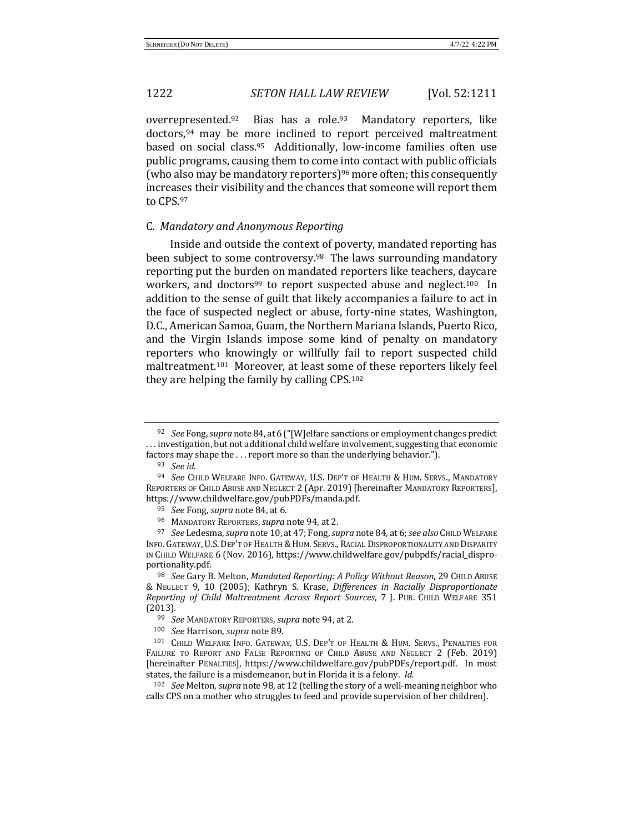overrepresented.<sup>92</sup> Bias has a role.<sup>93</sup> Mandatory reporters, like doctors,<sup>94</sup> may be more inclined to report perceived maltreatment based on social class.<sup>95</sup> Additionally, low-income families often use public programs, causing them to come into contact with public officials (who also may be mandatory reporters)<sup>96</sup> more often; this consequently increases their visibility and the chances that someone will report them to CPS.97

### C. *Mandatory and Anonymous Reporting*

Inside and outside the context of poverty, mandated reporting has been subject to some controversy.<sup>98</sup> The laws surrounding mandatory reporting put the burden on mandated reporters like teachers, daycare workers, and doctors<sup>99</sup> to report suspected abuse and neglect.<sup>100</sup> In addition to the sense of guilt that likely accompanies a failure to act in the face of suspected neglect or abuse, forty-nine states, Washington, D.C., American Samoa, Guam, the Northern Mariana Islands, Puerto Rico, and the Virgin Islands impose some kind of penalty on mandatory reporters who knowingly or willfully fail to report suspected child maltreatment.<sup>101</sup> Moreover, at least some of these reporters likely feel they are helping the family by calling  $CPS$ .<sup>102</sup>

<sup>&</sup>lt;sup>92</sup> *See* Fong, *supra* note 84, at 6 ("[W]elfare sanctions or employment changes predict ... investigation, but not additional child welfare involvement, suggesting that economic factors may shape the  $\dots$  report more so than the underlying behavior.").

<sup>93</sup> *See id.* 

<sup>&</sup>lt;sup>94</sup> See Child Welfare Info. Gateway, U.S. Dep't of Health & Hum. Servs., Mandatory REPORTERS OF CHILD ABUSE AND NEGLECT 2 (Apr. 2019) [hereinafter MANDATORY REPORTERS], https://www.childwelfare.gov/pubPDFs/manda.pdf.

<sup>&</sup>lt;sup>95</sup> *See* Fong, *supra* note 84, at 6.

<sup>96</sup> MANDATORY REPORTERS, *supra* note 94, at 2.

<sup>97</sup> *See* Ledesma, *supra* note 10, at 47; Fong, *supra* note 84, at 6; *see also* CHILD WELFARE INFO. GATEWAY, U.S. DEP'T OF HEALTH & HUM. SERVS., RACIAL DISPROPORTIONALITY AND DISPARITY IN CHILD WELFARE 6 (Nov. 2016), https://www.childwelfare.gov/pubpdfs/racial\_disproportionality.pdf.

<sup>98</sup> *See* Gary B. Melton, *Mandated Reporting: A Policy Without Reason*, 29 CHILD ABUSE & NEGLECT 9, 10 (2005); Kathryn S. Krase, *Differences in Racially Disproportionate Reporting of Child Maltreatment Across Report Sources*, 7 J. PUB. CHILD WELFARE 351 (2013).

<sup>99</sup> *See* MANDATORY REPORTERS, *supra* note 94, at 2.

<sup>100</sup> *See* Harrison, *supra* note 89.

<sup>101</sup> CHILD WELFARE INFO. GATEWAY, U.S. DEP'T OF HEALTH & HUM. SERVS., PENALTIES FOR FAILURE TO REPORT AND FALSE REPORTING OF CHILD ABUSE AND NEGLECT 2 (Feb. 2019) [hereinafter PENALTIES], https://www.childwelfare.gov/pubPDFs/report.pdf. In most states, the failure is a misdemeanor, but in Florida it is a felony. *Id.* 

<sup>&</sup>lt;sup>102</sup> *See* Melton, *supra* note 98, at 12 (telling the story of a well-meaning neighbor who calls CPS on a mother who struggles to feed and provide supervision of her children).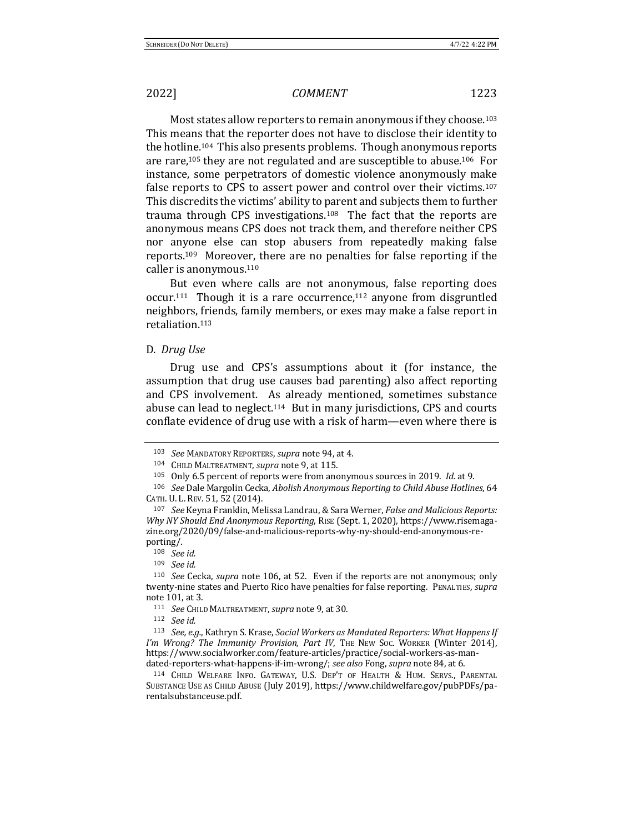Most states allow reporters to remain anonymous if they choose.<sup>103</sup> This means that the reporter does not have to disclose their identity to the hotline.<sup>104</sup> This also presents problems. Though anonymous reports are rare,<sup>105</sup> they are not regulated and are susceptible to abuse.<sup>106</sup> For instance, some perpetrators of domestic violence anonymously make false reports to CPS to assert power and control over their victims.<sup>107</sup> This discredits the victims' ability to parent and subjects them to further trauma through CPS investigations.<sup>108</sup> The fact that the reports are anonymous means CPS does not track them, and therefore neither CPS nor anyone else can stop abusers from repeatedly making false reports.<sup>109</sup> Moreover, there are no penalties for false reporting if the caller is anonymous. $110$ 

But even where calls are not anonymous, false reporting does occur.<sup>111</sup> Though it is a rare occurrence,<sup>112</sup> anyone from disgruntled neighbors, friends, family members, or exes may make a false report in retaliation.113 

### D. *Drug Use*

Drug use and CPS's assumptions about it (for instance, the assumption that drug use causes bad parenting) also affect reporting and CPS involvement. As already mentioned, sometimes substance abuse can lead to neglect.<sup>114</sup> But in many jurisdictions, CPS and courts conflate evidence of drug use with a risk of harm—even where there is

<sup>103</sup> *See* MANDATORY REPORTERS, *supra* note 94, at 4.

<sup>104</sup> CHILD MALTREATMENT, *supra* note 9, at 115.

<sup>105</sup> Only 6.5 percent of reports were from anonymous sources in 2019. *Id.* at 9.

<sup>106</sup> *See* Dale Margolin Cecka, *Abolish Anonymous Reporting to Child Abuse Hotlines*, 64 CATH. U. L. REV. 51, 52 (2014).

<sup>&</sup>lt;sup>107</sup> *See* Keyna Franklin, Melissa Landrau, & Sara Werner, *False and Malicious Reports: Why NY Should End Anonymous Reporting*, RISE (Sept. 1, 2020), https://www.risemagazine.org/2020/09/false-and-malicious-reports-why-ny-should-end-anonymous-reporting/.

<sup>108</sup> *See id.*

<sup>109</sup> *See id.*

<sup>&</sup>lt;sup>110</sup> *See* Cecka, *supra* note 106, at 52. Even if the reports are not anonymous; only twenty-nine states and Puerto Rico have penalties for false reporting. PENALTIES, *supra* note 101, at 3.

<sup>111</sup> *See* CHILD MALTREATMENT, *supra* note 9, at 30.

<sup>112</sup> *See id.*

<sup>113</sup> *See, e.g.*, Kathryn S. Krase, *Social Workers as Mandated Reporters: What Happens If* I'm Wrong? The Immunity Provision, Part IV, THE NEW Soc. WORKER (Winter 2014), https://www.socialworker.com/feature-articles/practice/social-workers-as-mandated-reporters-what-happens-if-im-wrong/; see also Fong, supra note 84, at 6.

<sup>114</sup> CHILD WELFARE INFO. GATEWAY, U.S. DEP'T OF HEALTH & HUM. SERVS., PARENTAL SUBSTANCE USE AS CHILD ABUSE (July 2019), https://www.childwelfare.gov/pubPDFs/parentalsubstanceuse.pdf.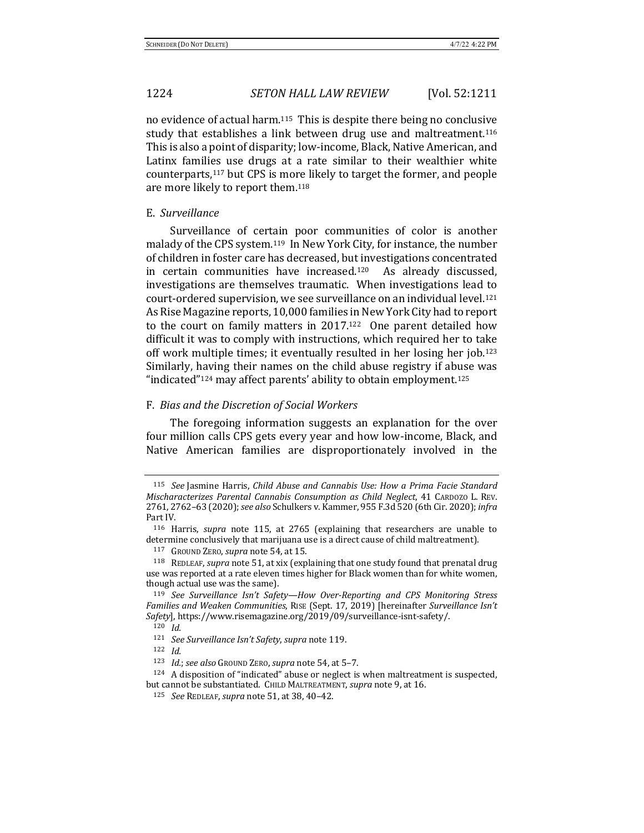no evidence of actual harm.<sup>115</sup> This is despite there being no conclusive study that establishes a link between drug use and maltreatment.<sup>116</sup> This is also a point of disparity; low-income, Black, Native American, and Latinx families use drugs at a rate similar to their wealthier white counterparts,<sup>117</sup> but CPS is more likely to target the former, and people are more likely to report them.<sup>118</sup>

### E. *Surveillance*

Surveillance of certain poor communities of color is another malady of the CPS system.<sup>119</sup> In New York City, for instance, the number of children in foster care has decreased, but investigations concentrated in certain communities have increased.<sup>120</sup> As already discussed, investigations are themselves traumatic. When investigations lead to court-ordered supervision, we see surveillance on an individual level.<sup>121</sup> As Rise Magazine reports, 10,000 families in New York City had to report to the court on family matters in  $2017<sup>122</sup>$  One parent detailed how difficult it was to comply with instructions, which required her to take off work multiple times; it eventually resulted in her losing her job.<sup>123</sup> Similarly, having their names on the child abuse registry if abuse was "indicated"<sup>124</sup> may affect parents' ability to obtain employment.<sup>125</sup>

### F. *Bias and the Discretion of Social Workers*

The foregoing information suggests an explanation for the over four million calls CPS gets every year and how low-income, Black, and Native American families are disproportionately involved in the

<sup>115</sup> *See* Jasmine Harris, *Child Abuse and Cannabis Use: How a Prima Facie Standard Mischaracterizes Parental Cannabis Consumption as Child Neglect*, 41 CARDOZO L. REV. 2761, 2762-63 (2020); *see also* Schulkers v. Kammer, 955 F.3d 520 (6th Cir. 2020); *infra* Part IV.

<sup>&</sup>lt;sup>116</sup> Harris, *supra* note 115, at 2765 (explaining that researchers are unable to determine conclusively that marijuana use is a direct cause of child maltreatment).

<sup>117</sup> GROUND ZERO, *supra* note 54, at 15.

<sup>&</sup>lt;sup>118</sup> REDLEAF, *supra* note 51, at xix (explaining that one study found that prenatal drug use was reported at a rate eleven times higher for Black women than for white women, though actual use was the same).

<sup>&</sup>lt;sup>119</sup> See Surveillance Isn't Safety-How Over-Reporting and CPS Monitoring Stress Families and Weaken Communities, RISE (Sept. 17, 2019) [hereinafter Surveillance Isn't Safety], https://www.risemagazine.org/2019/09/surveillance-isnt-safety/. <sup>120</sup> *Id.*

<sup>121</sup> *See Surveillance Isn't Safety, supra* note 119.

<sup>122</sup>  $Id.$ 

<sup>123</sup> *Id.*; see also Ground ZERO, supra note 54, at 5-7.

 $124$  A disposition of "indicated" abuse or neglect is when maltreatment is suspected, but cannot be substantiated. CHILD MALTREATMENT, *supra* note 9, at 16.

<sup>125</sup> *See* REDLEAF, *supra* note 51, at 38, 40-42.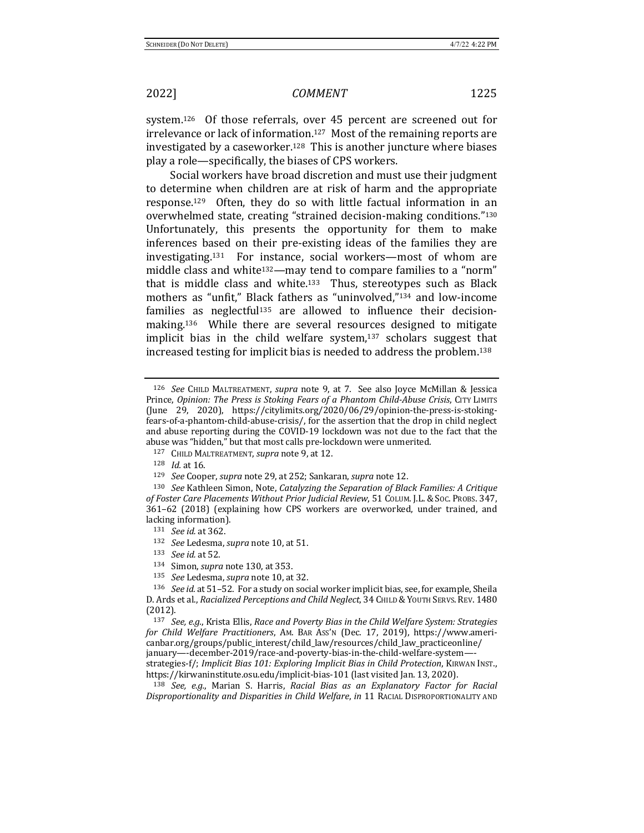system.<sup>126</sup> Of those referrals, over  $45$  percent are screened out for irrelevance or lack of information.<sup>127</sup> Most of the remaining reports are investigated by a caseworker.<sup>128</sup> This is another juncture where biases play a role—specifically, the biases of CPS workers.

Social workers have broad discretion and must use their judgment to determine when children are at risk of harm and the appropriate response.<sup>129</sup> Often, they do so with little factual information in an overwhelmed state, creating "strained decision-making conditions."130 Unfortunately, this presents the opportunity for them to make inferences based on their pre-existing ideas of the families they are investigating.<sup>131</sup> For instance, social workers—most of whom are middle class and white<sup>132</sup>—may tend to compare families to a "norm" that is middle class and white.<sup>133</sup> Thus, stereotypes such as Black mothers as "unfit," Black fathers as "uninvolved,"<sup>134</sup> and low-income families as neglectful<sup>135</sup> are allowed to influence their decisionmaking.<sup>136</sup> While there are several resources designed to mitigate implicit bias in the child welfare system, $137$  scholars suggest that increased testing for implicit bias is needed to address the problem.<sup>138</sup>

<sup>126</sup> *See* CHILD MALTREATMENT, *supra* note 9, at 7. See also Joyce McMillan & Jessica Prince, *Opinion: The Press is Stoking Fears of a Phantom Child-Abuse Crisis*, CITY LIMITS (June 29, 2020), https://citylimits.org/2020/06/29/opinion-the-press-is-stokingfears-of-a-phantom-child-abuse-crisis/, for the assertion that the drop in child neglect and abuse reporting during the COVID-19 lockdown was not due to the fact that the abuse was "hidden," but that most calls pre-lockdown were unmerited.

<sup>127</sup> CHILD MALTREATMENT, *supra* note 9, at 12.

<sup>128</sup> *Id.* at 16.

<sup>129</sup> *See* Cooper, *supra* note 29, at 252; Sankaran, *supra* note 12.

<sup>130</sup> *See* Kathleen Simon, Note, *Catalyzing the Separation of Black Families: A Critique* of Foster Care Placements Without Prior Judicial Review, 51 COLUM. J.L. & Soc. PROBS. 347, 361-62 (2018) (explaining how CPS workers are overworked, under trained, and lacking information).

<sup>131</sup> *See id.* at 362.

<sup>132</sup> *See* Ledesma, *supra* note 10, at 51.

<sup>133</sup> *See id.* at 52.

<sup>134</sup> Simon, *supra* note 130, at 353.

<sup>135</sup> *See* Ledesma, *supra* note 10, at 32.

<sup>&</sup>lt;sup>136</sup> *See id.* at 51-52. For a study on social worker implicit bias, see, for example, Sheila D. Ards et al., *Racialized Perceptions and Child Neglect*, 34 CHILD & YOUTH SERVS. REV. 1480 (2012).

<sup>137</sup> *See, e.g.*, Krista Ellis, *Race and Poverty Bias in the Child Welfare System: Strategies* for Child Welfare Practitioners, AM. BAR Ass'N (Dec. 17, 2019), https://www.americanbar.org/groups/public\_interest/child\_law/resources/child\_law\_practiceonline/ january—-december-2019/race-and-poverty-bias-in-the-child-welfare-system— strategies-f/; Implicit Bias 101: Exploring Implicit Bias in Child Protection, KIRWAN INST., https://kirwaninstitute.osu.edu/implicit-bias-101 (last visited Jan. 13, 2020).

<sup>&</sup>lt;sup>138</sup> *See, e.g.*, Marian S. Harris, *Racial Bias as an Explanatory Factor for Racial Disproportionality and Disparities in Child Welfare, in* 11 RACIAL DISPROPORTIONALITY AND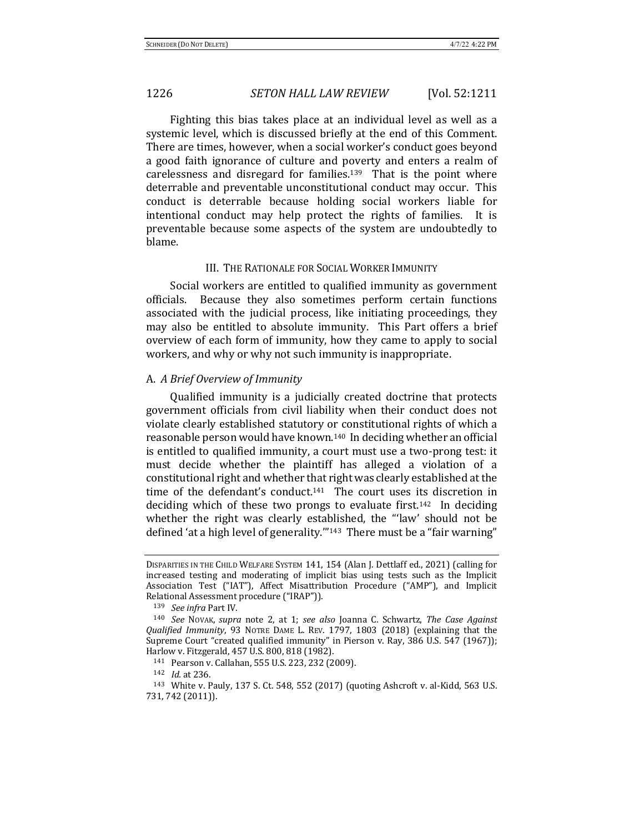Fighting this bias takes place at an individual level as well as a systemic level, which is discussed briefly at the end of this Comment. There are times, however, when a social worker's conduct goes beyond a good faith ignorance of culture and poverty and enters a realm of carelessness and disregard for families.<sup>139</sup> That is the point where deterrable and preventable unconstitutional conduct may occur. This conduct is deterrable because holding social workers liable for intentional conduct may help protect the rights of families. It is preventable because some aspects of the system are undoubtedly to blame.

### III. THE RATIONALE FOR SOCIAL WORKER IMMUNITY

Social workers are entitled to qualified immunity as government officials. Because they also sometimes perform certain functions associated with the judicial process, like initiating proceedings, they may also be entitled to absolute immunity. This Part offers a brief overview of each form of immunity, how they came to apply to social workers, and why or why not such immunity is inappropriate.

## A. *A Brief Overview of Immunity*

Qualified immunity is a judicially created doctrine that protects government officials from civil liability when their conduct does not violate clearly established statutory or constitutional rights of which a reasonable person would have known.<sup>140</sup> In deciding whether an official is entitled to qualified immunity, a court must use a two-prong test: it must decide whether the plaintiff has alleged a violation of a constitutional right and whether that right was clearly established at the time of the defendant's conduct.<sup>141</sup> The court uses its discretion in deciding which of these two prongs to evaluate first.<sup>142</sup> In deciding whether the right was clearly established, the "'law' should not be defined 'at a high level of generality."<sup>143</sup> There must be a "fair warning"

139 *See infra Part IV.* 

142 *Id.* at 236.

DISPARITIES IN THE CHILD WELFARE SYSTEM 141, 154 (Alan J. Dettlaff ed., 2021) (calling for increased testing and moderating of implicit bias using tests such as the Implicit Association Test ("IAT"), Affect Misattribution Procedure ("AMP"), and Implicit Relational Assessment procedure ("IRAP")).

<sup>&</sup>lt;sup>140</sup> *See* Novak, *supra* note 2, at 1; *see also* Joanna C. Schwartz, *The Case Against Qualified Immunity*, 93 NOTRE DAME L. REV. 1797, 1803 (2018) (explaining that the Supreme Court "created qualified immunity" in Pierson v. Ray, 386 U.S. 547 (1967)); Harlow v. Fitzgerald, 457 U.S. 800, 818 (1982).

<sup>141</sup> Pearson v. Callahan, 555 U.S. 223, 232 (2009).

<sup>143</sup> White v. Pauly, 137 S. Ct. 548, 552 (2017) (quoting Ashcroft v. al-Kidd, 563 U.S. 731, 742 (2011)).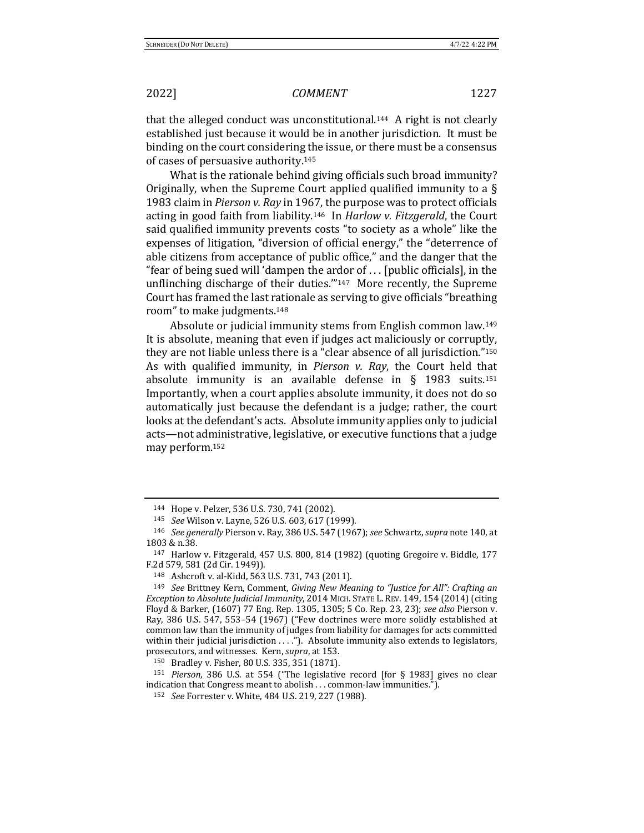that the alleged conduct was unconstitutional.<sup>144</sup> A right is not clearly established just because it would be in another jurisdiction. It must be binding on the court considering the issue, or there must be a consensus of cases of persuasive authority.<sup>145</sup>

What is the rationale behind giving officials such broad immunity? Originally, when the Supreme Court applied qualified immunity to a  $\S$ 1983 claim in *Pierson v. Ray* in 1967, the purpose was to protect officials acting in good faith from liability.<sup>146</sup> In *Harlow v. Fitzgerald*, the Court said qualified immunity prevents costs "to society as a whole" like the expenses of litigation, "diversion of official energy," the "deterrence of able citizens from acceptance of public office," and the danger that the "fear of being sued will 'dampen the ardor of  $\ldots$  [public officials], in the unflinching discharge of their duties." $147$  More recently, the Supreme Court has framed the last rationale as serving to give officials "breathing room" to make judgments.<sup>148</sup>

Absolute or judicial immunity stems from English common law.<sup>149</sup> It is absolute, meaning that even if judges act maliciously or corruptly, they are not liable unless there is a "clear absence of all jurisdiction." $150$ As with qualified immunity, in *Pierson v. Ray*, the Court held that absolute immunity is an available defense in  $\S$  1983 suits.<sup>151</sup> Importantly, when a court applies absolute immunity, it does not do so automatically just because the defendant is a judge; rather, the court looks at the defendant's acts. Absolute immunity applies only to judicial acts—not administrative, legislative, or executive functions that a judge may perform.<sup>152</sup>

<sup>144</sup> Hope v. Pelzer, 536 U.S. 730, 741 (2002).

<sup>145</sup> *See* Wilson v. Layne, 526 U.S. 603, 617 (1999).

<sup>146</sup> *See generally* Pierson v. Ray, 386 U.S. 547 (1967); see Schwartz, supra note 140, at 1803 & n.38.

<sup>&</sup>lt;sup>147</sup> Harlow v. Fitzgerald, 457 U.S. 800, 814 (1982) (quoting Gregoire v. Biddle, 177 F.2d 579, 581 (2d Cir. 1949)).

<sup>148</sup> Ashcroft v. al-Kidd, 563 U.S. 731, 743 (2011).

<sup>&</sup>lt;sup>149</sup> *See* Brittney Kern, Comment, *Giving New Meaning to "Justice for All": Crafting an Exception to Absolute Judicial Immunity*, 2014 MICH. STATE L. REV. 149, 154 (2014) (citing Floyd & Barker, (1607) 77 Eng. Rep. 1305, 1305; 5 Co. Rep. 23, 23); see also Pierson v. Ray, 386 U.S. 547, 553-54 (1967) ("Few doctrines were more solidly established at common law than the immunity of judges from liability for damages for acts committed within their judicial jurisdiction  $\dots$ ."). Absolute immunity also extends to legislators, prosecutors, and witnesses. Kern, *supra*, at 153.

<sup>150</sup> Bradley v. Fisher, 80 U.S. 335, 351 (1871).

 $151$  *Pierson*, 386 U.S. at 554 ("The legislative record [for § 1983] gives no clear indication that Congress meant to abolish . . . common-law immunities.").

<sup>152</sup> *See* Forrester v. White, 484 U.S. 219, 227 (1988).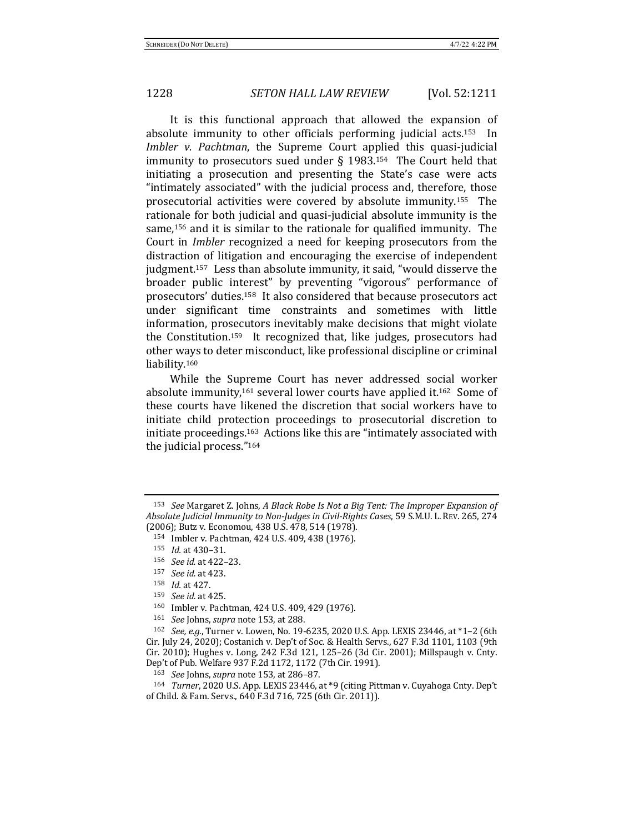It is this functional approach that allowed the expansion of absolute immunity to other officials performing judicial acts.<sup>153</sup> In *Imbler v. Pachtman*, the Supreme Court applied this quasi-judicial immunity to prosecutors sued under  $\S$  1983.<sup>154</sup> The Court held that initiating a prosecution and presenting the State's case were acts "intimately associated" with the judicial process and, therefore, those prosecutorial activities were covered by absolute immunity.<sup>155</sup> The rationale for both judicial and quasi-judicial absolute immunity is the same,<sup>156</sup> and it is similar to the rationale for qualified immunity. The Court in *Imbler* recognized a need for keeping prosecutors from the distraction of litigation and encouraging the exercise of independent judgment.<sup>157</sup> Less than absolute immunity, it said, "would disserve the broader public interest" by preventing "vigorous" performance of prosecutors' duties.<sup>158</sup> It also considered that because prosecutors act under significant time constraints and sometimes with little information, prosecutors inevitably make decisions that might violate the Constitution.<sup>159</sup> It recognized that, like judges, prosecutors had other ways to deter misconduct, like professional discipline or criminal liability.160 

While the Supreme Court has never addressed social worker absolute immunity,<sup>161</sup> several lower courts have applied it.<sup>162</sup> Some of these courts have likened the discretion that social workers have to initiate child protection proceedings to prosecutorial discretion to initiate proceedings.<sup>163</sup> Actions like this are "intimately associated with the judicial process."<sup>164</sup>

163 *See* Johns, *supra* note 153, at 286–87.

164 *Turner*, 2020 U.S. App. LEXIS 23446, at \*9 (citing Pittman v. Cuyahoga Cnty. Dep't of Child. & Fam. Servs., 640 F.3d 716, 725 (6th Cir. 2011)).

<sup>&</sup>lt;sup>153</sup> *See* Margaret Z. Johns, A Black Robe Is Not a Big Tent: The Improper Expansion of Absolute Judicial Immunity to Non-Judges in Civil-Rights Cases, 59 S.M.U. L. REV. 265, 274 (2006); Butz v. Economou, 438 U.S. 478, 514 (1978).

<sup>154</sup> Imbler v. Pachtman, 424 U.S. 409, 438 (1976).

<sup>155</sup> *Id.* at 430-31.

<sup>156</sup> *See id.* at 422–23.

<sup>157</sup> *See id.* at 423.

<sup>158</sup> *Id.* at 427.

<sup>159</sup> *See id.* at 425.

<sup>160</sup> Imbler v. Pachtman, 424 U.S. 409, 429 (1976).

<sup>161</sup> *See* Johns, *supra* note 153, at 288.

<sup>162</sup> *See, e.g.*, Turner v. Lowen, No. 19-6235, 2020 U.S. App. LEXIS 23446, at \*1-2 (6th Cir. July 24, 2020); Costanich v. Dep't of Soc. & Health Servs., 627 F.3d 1101, 1103 (9th Cir. 2010); Hughes v. Long, 242 F.3d 121, 125-26 (3d Cir. 2001); Millspaugh v. Cnty. Dep't of Pub. Welfare 937 F.2d 1172, 1172 (7th Cir. 1991).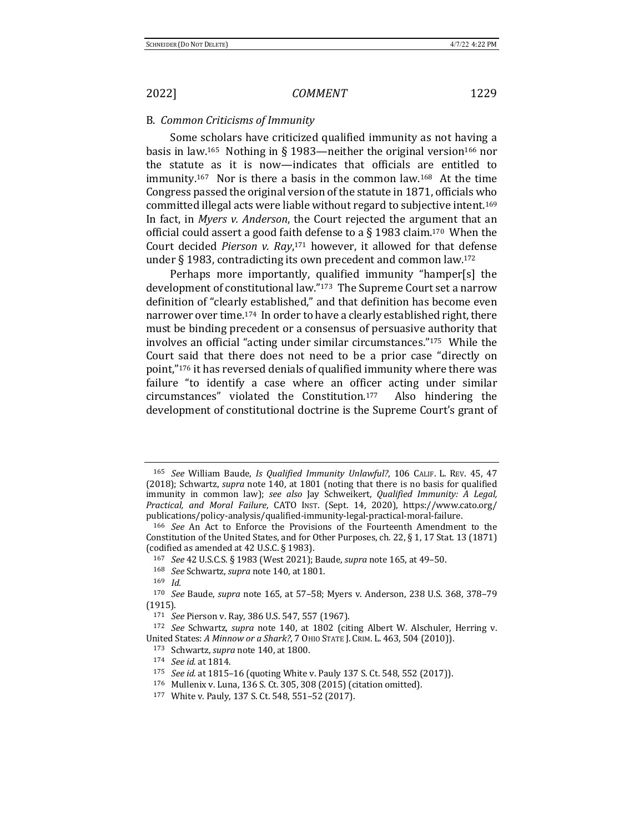### B. *Common Criticisms of Immunity*

Some scholars have criticized qualified immunity as not having a basis in law.<sup>165</sup> Nothing in § 1983—neither the original version<sup>166</sup> nor the statute as it is now—indicates that officials are entitled to immunity.<sup>167</sup> Nor is there a basis in the common law.<sup>168</sup> At the time Congress passed the original version of the statute in 1871, officials who committed illegal acts were liable without regard to subjective intent.<sup>169</sup> In fact, in *Myers v. Anderson*, the Court rejected the argument that an official could assert a good faith defense to a  $\S$  1983 claim.<sup>170</sup> When the Court decided *Pierson v. Ray*,<sup>171</sup> however, it allowed for that defense under § 1983, contradicting its own precedent and common law.<sup>172</sup>

Perhaps more importantly, qualified immunity "hamper[s] the development of constitutional law."<sup>173</sup> The Supreme Court set a narrow definition of "clearly established," and that definition has become even narrower over time.<sup>174</sup> In order to have a clearly established right, there must be binding precedent or a consensus of persuasive authority that involves an official "acting under similar circumstances." $175$  While the Court said that there does not need to be a prior case "directly on point,"<sup>176</sup> it has reversed denials of qualified immunity where there was failure "to identify a case where an officer acting under similar circumstances" violated the Constitution.177 Also hindering the development of constitutional doctrine is the Supreme Court's grant of

<sup>&</sup>lt;sup>165</sup> See William Baude, *Is Qualified Immunity Unlawful?*, 106 CALIF. L. REV. 45, 47 (2018); Schwartz, *supra* note 140, at 1801 (noting that there is no basis for qualified immunity in common law); see also Jay Schweikert, *Qualified Immunity: A Legal, Practical, and Moral Failure*, CATO INST. (Sept. 14, 2020), https://www.cato.org/ publications/policy-analysis/qualified-immunity-legal-practical-moral-failure.

<sup>166</sup> *See* An Act to Enforce the Provisions of the Fourteenth Amendment to the Constitution of the United States, and for Other Purposes, ch. 22,  $\S 1$ , 17 Stat. 13 (1871) (codified as amended at  $42$  U.S.C. § 1983).

<sup>167</sup> *See* 42 U.S.C.S. § 1983 (West 2021); Baude, *supra* note 165, at 49-50.

<sup>168</sup> *See* Schwartz, *supra* note 140, at 1801.

<sup>169</sup> *Id.*

<sup>&</sup>lt;sup>170</sup> *See* Baude, *supra* note 165, at 57-58; Myers v. Anderson, 238 U.S. 368, 378-79 (1915).

<sup>171</sup> *See* Pierson v. Ray, 386 U.S. 547, 557 (1967).

<sup>&</sup>lt;sup>172</sup> *See* Schwartz, *supra* note 140, at 1802 (citing Albert W. Alschuler, Herring v. United States: *A Minnow or a Shark*?, 7 OHIO STATE J. CRIM. L. 463, 504 (2010)).

<sup>173</sup> Schwartz, *supra* note 140, at 1800.

<sup>174</sup> *See id.* at 1814.

<sup>175</sup> *See id.* at 1815-16 (quoting White v. Pauly 137 S. Ct. 548, 552 (2017)).

<sup>176</sup> Mullenix v. Luna, 136 S. Ct. 305, 308 (2015) (citation omitted).

<sup>177</sup> White v. Pauly, 137 S. Ct. 548, 551-52 (2017).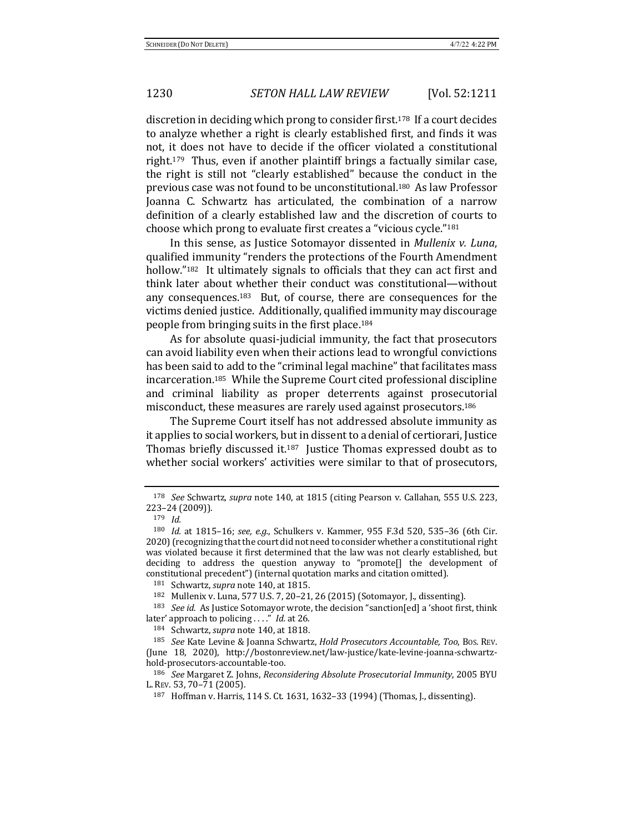discretion in deciding which prong to consider first.<sup>178</sup> If a court decides to analyze whether a right is clearly established first, and finds it was not, it does not have to decide if the officer violated a constitutional right.<sup>179</sup> Thus, even if another plaintiff brings a factually similar case, the right is still not "clearly established" because the conduct in the previous case was not found to be unconstitutional.<sup>180</sup> As law Professor Joanna C. Schwartz has articulated, the combination of a narrow definition of a clearly established law and the discretion of courts to choose which prong to evaluate first creates a "vicious cycle."<sup>181</sup>

In this sense, as Justice Sotomayor dissented in *Mullenix v. Luna*, qualified immunity "renders the protections of the Fourth Amendment hollow."<sup>182</sup> It ultimately signals to officials that they can act first and think later about whether their conduct was constitutional—without any consequences.<sup>183</sup> But, of course, there are consequences for the victims denied justice. Additionally, qualified immunity may discourage people from bringing suits in the first place.<sup>184</sup>

As for absolute quasi-judicial immunity, the fact that prosecutors can avoid liability even when their actions lead to wrongful convictions has been said to add to the "criminal legal machine" that facilitates mass incarceration.<sup>185</sup> While the Supreme Court cited professional discipline and criminal liability as proper deterrents against prosecutorial misconduct, these measures are rarely used against prosecutors.<sup>186</sup>

The Supreme Court itself has not addressed absolute immunity as it applies to social workers, but in dissent to a denial of certiorari, Justice Thomas briefly discussed it.<sup>187</sup> Justice Thomas expressed doubt as to whether social workers' activities were similar to that of prosecutors,

<sup>186</sup> *See* Margaret Z. Johns, *Reconsidering Absolute Prosecutorial Immunity*, 2005 BYU L. REV. 53, 70-71 (2005).

<sup>&</sup>lt;sup>178</sup> *See* Schwartz, *supra* note 140, at 1815 (citing Pearson v. Callahan, 555 U.S. 223, 223–24 (2009)).

<sup>179</sup> *Id.*

<sup>&</sup>lt;sup>180</sup> *Id.* at 1815–16; *see, e.g.*, Schulkers v. Kammer, 955 F.3d 520, 535–36 (6th Cir. 2020) (recognizing that the court did not need to consider whether a constitutional right was violated because it first determined that the law was not clearly established, but deciding to address the question anyway to "promote $[]$  the development of constitutional precedent") (internal quotation marks and citation omitted).

<sup>181</sup> Schwartz, *supra* note 140, at 1815.

<sup>182</sup> Mullenix v. Luna, 577 U.S. 7, 20-21, 26 (2015) (Sotomayor, J., dissenting).

<sup>&</sup>lt;sup>183</sup> *See id.* As Justice Sotomayor wrote, the decision "sanction[ed] a 'shoot first, think later' approach to policing ...." *Id.* at 26.

<sup>184</sup> Schwartz, *supra* note 140, at 1818.

<sup>&</sup>lt;sup>185</sup> *See* Kate Levine & Joanna Schwartz, *Hold Prosecutors Accountable, Too*, Bos. REv. (June 18, 2020), http://bostonreview.net/law-justice/kate-levine-joanna-schwartzhold-prosecutors-accountable-too. 

<sup>187</sup> Hoffman v. Harris, 114 S. Ct. 1631, 1632–33 (1994) (Thomas, J., dissenting).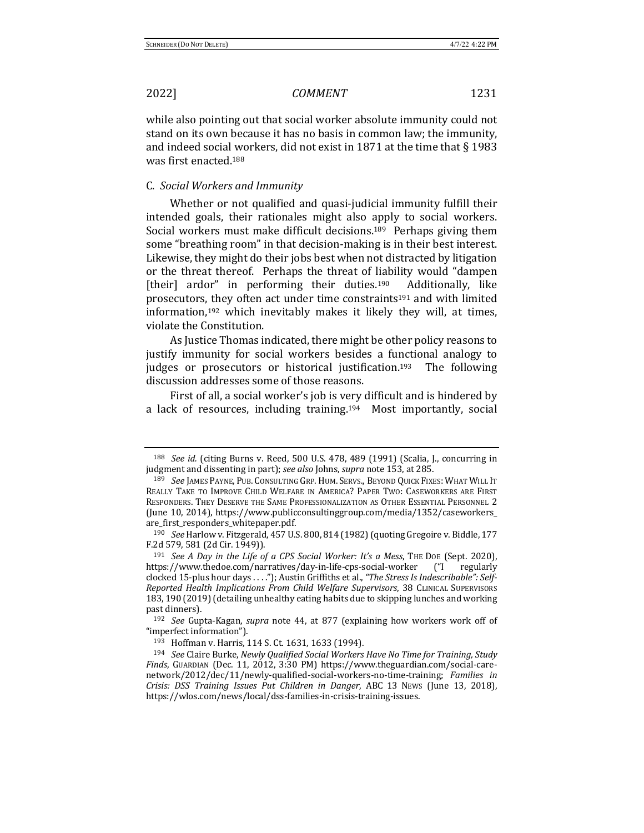while also pointing out that social worker absolute immunity could not stand on its own because it has no basis in common law; the immunity, and indeed social workers, did not exist in 1871 at the time that  $\S$  1983 was first enacted.<sup>188</sup>

## C. *Social Workers and Immunity*

Whether or not qualified and quasi-judicial immunity fulfill their intended goals, their rationales might also apply to social workers. Social workers must make difficult decisions.<sup>189</sup> Perhaps giving them some "breathing room" in that decision-making is in their best interest. Likewise, they might do their jobs best when not distracted by litigation or the threat thereof. Perhaps the threat of liability would "dampen [their] ardor" in performing their duties.<sup>190</sup> Additionally, like prosecutors, they often act under time constraints<sup>191</sup> and with limited information, $192$  which inevitably makes it likely they will, at times, violate the Constitution.

As Justice Thomas indicated, there might be other policy reasons to justify immunity for social workers besides a functional analogy to judges or prosecutors or historical justification.<sup>193</sup> The following discussion addresses some of those reasons.

First of all, a social worker's job is very difficult and is hindered by a lack of resources, including training.<sup>194</sup> Most importantly, social

<sup>&</sup>lt;sup>188</sup> *See id.* (citing Burns v. Reed, 500 U.S. 478, 489 (1991) (Scalia, J., concurring in judgment and dissenting in part); see also Johns, supra note 153, at 285.

<sup>189</sup> *See IAMES PAYNE, PUB. CONSULTING GRP. HUM. SERVS., BEYOND QUICK FIXES: WHAT WILL IT* REALLY TAKE TO IMPROVE CHILD WELFARE IN AMERICA? PAPER TWO: CASEWORKERS ARE FIRST RESPONDERS. THEY DESERVE THE SAME PROFESSIONALIZATION AS OTHER ESSENTIAL PERSONNEL 2 (June 10, 2014), https://www.publicconsultinggroup.com/media/1352/caseworkers\_ are\_first\_responders\_whitepaper.pdf.

<sup>&</sup>lt;sup>190</sup> *See* Harlow v. Fitzgerald, 457 U.S. 800, 814 (1982) (quoting Gregoire v. Biddle, 177 F.2d 579, 581 (2d Cir. 1949)).

<sup>&</sup>lt;sup>191</sup> *See A Day in the Life of a CPS Social Worker: It's a Mess*, THE DOE (Sept. 2020), https://www.thedoe.com/narratives/day-in-life-cps-social-worker ("I regularly clocked 15-plus hour days . . . "); Austin Griffiths et al., "The Stress Is Indescribable": Self-*Reported Health Implications From Child Welfare Supervisors*, 38 CLINICAL SUPERVISORS 183, 190 (2019) (detailing unhealthy eating habits due to skipping lunches and working past dinners).

<sup>192</sup> *See* Gupta-Kagan, *supra* note 44, at 877 (explaining how workers work off of "imperfect information").

<sup>193</sup> Hoffman v. Harris, 114 S. Ct. 1631, 1633 (1994).

<sup>&</sup>lt;sup>194</sup> See Claire Burke, Newly Qualified Social Workers Have No Time for Training, Study Finds, GUARDIAN (Dec. 11, 2012, 3:30 PM) https://www.theguardian.com/social-carenetwork/2012/dec/11/newly-qualified-social-workers-no-time-training; *Families in Crisis: DSS Training Issues Put Children in Danger*, ABC 13 News (June 13, 2018), https://wlos.com/news/local/dss-families-in-crisis-training-issues.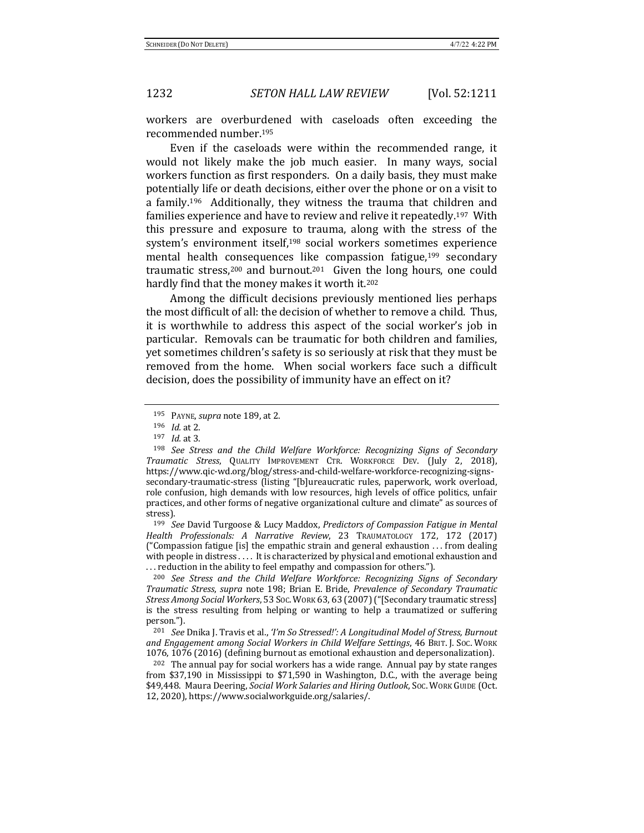workers are overburdened with caseloads often exceeding the recommended number.<sup>195</sup>

Even if the caseloads were within the recommended range, it would not likely make the job much easier. In many ways, social workers function as first responders. On a daily basis, they must make potentially life or death decisions, either over the phone or on a visit to a family.<sup>196</sup> Additionally, they witness the trauma that children and families experience and have to review and relive it repeatedly.<sup>197</sup> With this pressure and exposure to trauma, along with the stress of the system's environment itself,<sup>198</sup> social workers sometimes experience mental health consequences like compassion fatigue,<sup>199</sup> secondary traumatic stress,<sup>200</sup> and burnout.<sup>201</sup> Given the long hours, one could hardly find that the money makes it worth it.<sup>202</sup>

Among the difficult decisions previously mentioned lies perhaps the most difficult of all: the decision of whether to remove a child. Thus, it is worthwhile to address this aspect of the social worker's job in particular. Removals can be traumatic for both children and families, yet sometimes children's safety is so seriously at risk that they must be removed from the home. When social workers face such a difficult decision, does the possibility of immunity have an effect on it?

<sup>199</sup> *See* David Turgoose & Lucy Maddox, *Predictors of Compassion Fatigue in Mental Health Professionals: A Narrative Review*, 23 TRAUMATOLOGY 172, 172 (2017) ("Compassion fatigue [is] the empathic strain and general exhaustion  $\dots$  from dealing with people in distress .... It is characterized by physical and emotional exhaustion and ... reduction in the ability to feel empathy and compassion for others.").

<sup>200</sup> See Stress and the Child Welfare Workforce: Recognizing Signs of Secondary *Traumatic Stress, supra note 198; Brian E. Bride, Prevalence of Secondary Traumatic Stress Among Social Workers*, 53 Soc. Work 63, 63 (2007) ("[Secondary traumatic stress] is the stress resulting from helping or wanting to help a traumatized or suffering person.").

<sup>201</sup> *See* Dnika J. Travis et al., 'I'm So Stressed!': A Longitudinal Model of Stress, Burnout and Engagement among Social Workers in Child Welfare Settings, 46 BRIT. J. Soc. WORK 1076, 1076 (2016) (defining burnout as emotional exhaustion and depersonalization).

 $202$  The annual pay for social workers has a wide range. Annual pay by state ranges from \$37,190 in Mississippi to \$71,590 in Washington, D.C., with the average being \$49,448. Maura Deering, *Social Work Salaries and Hiring Outlook*, Soc. Work GUIDE (Oct. 12, 2020), https://www.socialworkguide.org/salaries/.

<sup>195</sup> PAYNE, *supra* note 189, at 2.

<sup>196</sup> *Id.* at 2.

<sup>197</sup> *Id.* at 3.

<sup>&</sup>lt;sup>198</sup> See Stress and the Child Welfare Workforce: Recognizing Signs of Secondary *Traumatic Stress*, QUALITY IMPROVEMENT CTR. WORKFORCE DEV. (July 2, 2018), https://www.qic-wd.org/blog/stress-and-child-welfare-workforce-recognizing-signssecondary-traumatic-stress (listing "[b]ureaucratic rules, paperwork, work overload, role confusion, high demands with low resources, high levels of office politics, unfair practices, and other forms of negative organizational culture and climate" as sources of stress).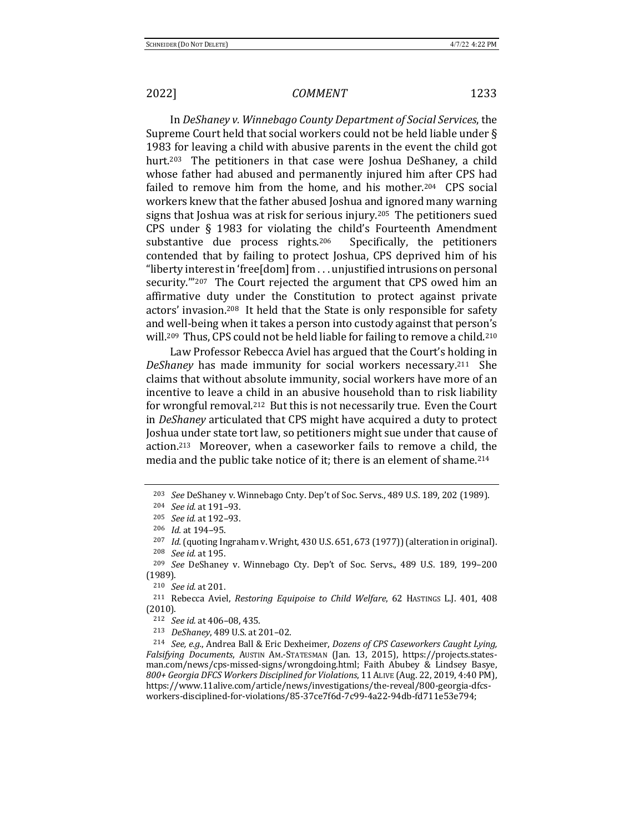In *DeShaney v. Winnebago County Department of Social Services*, the Supreme Court held that social workers could not be held liable under  $\S$ 1983 for leaving a child with abusive parents in the event the child got hurt.<sup>203</sup> The petitioners in that case were Joshua DeShaney, a child whose father had abused and permanently injured him after CPS had failed to remove him from the home, and his mother.<sup>204</sup> CPS social workers knew that the father abused Joshua and ignored many warning signs that Joshua was at risk for serious injury.<sup>205</sup> The petitioners sued CPS under  $\S$  1983 for violating the child's Fourteenth Amendment substantive due process rights.<sup>206</sup> Specifically, the petitioners contended that by failing to protect Joshua, CPS deprived him of his "liberty interest in 'free[dom] from  $\dots$  unjustified intrusions on personal security."<sup>207</sup> The Court rejected the argument that CPS owed him an affirmative duty under the Constitution to protect against private actors' invasion.<sup>208</sup> It held that the State is only responsible for safety and well-being when it takes a person into custody against that person's will.<sup>209</sup> Thus, CPS could not be held liable for failing to remove a child.<sup>210</sup>

Law Professor Rebecca Aviel has argued that the Court's holding in *DeShaney* has made immunity for social workers necessary.<sup>211</sup> She claims that without absolute immunity, social workers have more of an incentive to leave a child in an abusive household than to risk liability for wrongful removal.<sup>212</sup> But this is not necessarily true. Even the Court in *DeShaney* articulated that CPS might have acquired a duty to protect Joshua under state tort law, so petitioners might sue under that cause of  $action<sup>213</sup>$  Moreover, when a caseworker fails to remove a child, the media and the public take notice of it; there is an element of shame.<sup>214</sup>

213 *DeShaney*, 489 U.S. at 201-02.

<sup>&</sup>lt;sup>203</sup> *See* DeShaney v. Winnebago Cnty. Dep't of Soc. Servs., 489 U.S. 189, 202 (1989).

<sup>204</sup> *See id.* at 191–93.

<sup>&</sup>lt;sup>205</sup> *See id.* at 192-93.

<sup>206</sup> *Id.* at 194-95.

 $207$  *Id.* (quoting Ingraham v. Wright, 430 U.S. 651, 673 (1977)) (alteration in original). 208 *See id.* at 195.

<sup>&</sup>lt;sup>209</sup> *See* DeShaney v. Winnebago Cty. Dep't of Soc. Servs., 489 U.S. 189, 199-200 (1989).

<sup>210</sup> *See id.* at 201.

<sup>&</sup>lt;sup>211</sup> Rebecca Aviel, *Restoring Equipoise to Child Welfare*, 62 HASTINGS L.J. 401, 408 (2010).

<sup>212</sup> *See id.* at 406-08, 435.

<sup>&</sup>lt;sup>214</sup> *See, e.g.*, Andrea Ball & Eric Dexheimer, *Dozens of CPS Caseworkers Caught Lying*, Falsifying Documents, Austin Am.-Statesman (Jan. 13, 2015), https://projects.statesman.com/news/cps-missed-signs/wrongdoing.html; Faith Abubey & Lindsey Basye, *800+ Georgia DFCS Workers Disciplined for Violations*, 11ALIVE (Aug. 22, 2019, 4:40 PM), https://www.11alive.com/article/news/investigations/the-reveal/800-georgia-dfcsworkers-disciplined-for-violations/85-37ce7f6d-7c99-4a22-94db-fd711e53e794;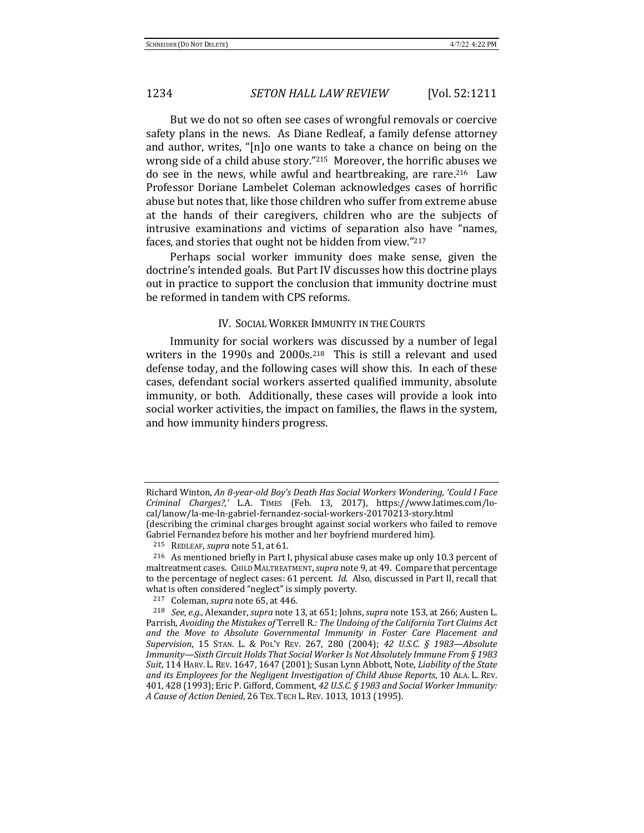But we do not so often see cases of wrongful removals or coercive safety plans in the news. As Diane Redleaf, a family defense attorney and author, writes, " $[n]$ o one wants to take a chance on being on the wrong side of a child abuse story." $215$  Moreover, the horrific abuses we do see in the news, while awful and heartbreaking, are rare.<sup>216</sup> Law Professor Doriane Lambelet Coleman acknowledges cases of horrific abuse but notes that, like those children who suffer from extreme abuse at the hands of their caregivers, children who are the subjects of intrusive examinations and victims of separation also have "names, faces, and stories that ought not be hidden from view."217

Perhaps social worker immunity does make sense, given the doctrine's intended goals. But Part IV discusses how this doctrine plays out in practice to support the conclusion that immunity doctrine must be reformed in tandem with CPS reforms.

## IV. SOCIAL WORKER IMMUNITY IN THE COURTS

Immunity for social workers was discussed by a number of legal writers in the 1990s and  $2000s$ .<sup>218</sup> This is still a relevant and used defense today, and the following cases will show this. In each of these cases, defendant social workers asserted qualified immunity, absolute immunity, or both. Additionally, these cases will provide a look into social worker activities, the impact on families, the flaws in the system, and how immunity hinders progress.

Richard Winton, *An 8-year-old Boy's Death Has Social Workers Wondering, 'Could I Face Criminal Charges?*,*'* L.A. TIMES (Feb. 13, 2017), https://www.latimes.com/local/lanow/la-me-ln-gabriel-fernandez-social-workers-20170213-story.html (describing the criminal charges brought against social workers who failed to remove

Gabriel Fernandez before his mother and her boyfriend murdered him).

<sup>215</sup> REDLEAF, *supra* note 51, at 61.

<sup>&</sup>lt;sup>216</sup> As mentioned briefly in Part I, physical abuse cases make up only 10.3 percent of maltreatment cases. CHILD MALTREATMENT, *supra* note 9, at 49. Compare that percentage to the percentage of neglect cases: 61 percent. *Id.* Also, discussed in Part II, recall that what is often considered "neglect" is simply poverty.

<sup>&</sup>lt;sup>217</sup> Coleman, *supra* note 65, at 446.

<sup>&</sup>lt;sup>218</sup> *See, e.g.,* Alexander, *supra* note 13, at 651; Johns, *supra* note 153, at 266; Austen L. Parrish, Avoiding the Mistakes of Terrell R.: The Undoing of the California Tort Claims Act and the Move to Absolute Governmental Immunity in Foster Care Placement and *Supervision*, 15 STAN. L. & POL'Y REV. 267, 280 (2004); 42 U.S.C. § 1983—Absolute *Immunity—Sixth Circuit Holds That Social Worker Is Not Absolutely Immune From §* 1983 Suit, 114 HARV. L. REV. 1647, 1647 (2001); Susan Lynn Abbott, Note, *Liability of the State* and its Employees for the Negligent Investigation of Child Abuse Reports, 10 ALA. L. REV. 401, 428 (1993); Eric P. Gifford, Comment, 42 U.S.C. § 1983 and Social Worker Immunity: *A Cause of Action Denied*, 26 TEX. TECH L. REV. 1013, 1013 (1995).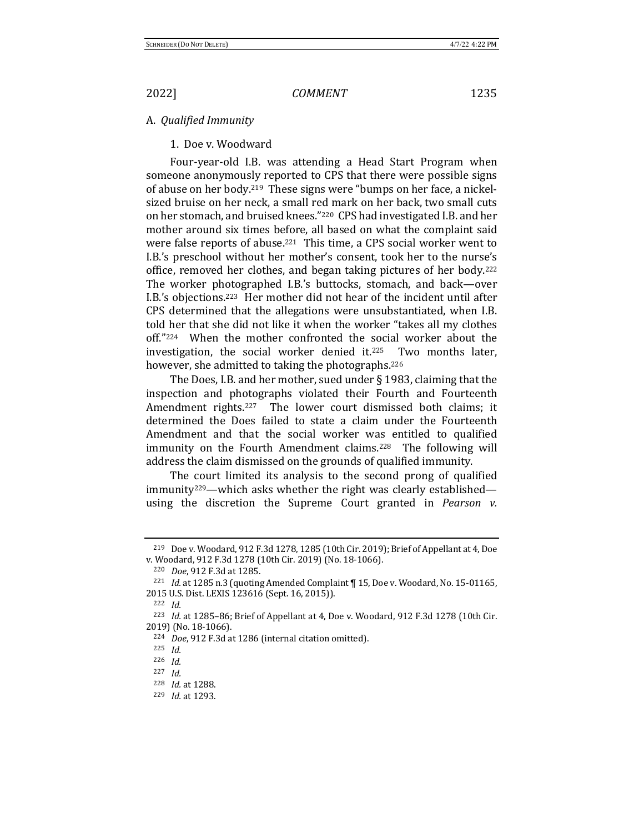### A. *Qualified Immunity*

1. Doe v. Woodward

Four-year-old I.B. was attending a Head Start Program when someone anonymously reported to CPS that there were possible signs of abuse on her body.<sup>219</sup> These signs were "bumps on her face, a nickelsized bruise on her neck, a small red mark on her back, two small cuts on her stomach, and bruised knees."<sup>220</sup> CPS had investigated I.B. and her mother around six times before, all based on what the complaint said were false reports of abuse.<sup>221</sup> This time, a CPS social worker went to I.B.'s preschool without her mother's consent, took her to the nurse's office, removed her clothes, and began taking pictures of her body.<sup>222</sup> The worker photographed I.B.'s buttocks, stomach, and back—over I.B.'s objections.<sup>223</sup> Her mother did not hear of the incident until after CPS determined that the allegations were unsubstantiated, when I.B. told her that she did not like it when the worker "takes all my clothes off."224 When the mother confronted the social worker about the investigation, the social worker denied it. $225$  Two months later, however, she admitted to taking the photographs.<sup>226</sup>

The Does, I.B. and her mother, sued under  $\S$  1983, claiming that the inspection and photographs violated their Fourth and Fourteenth Amendment rights.<sup>227</sup> The lower court dismissed both claims; it determined the Does failed to state a claim under the Fourteenth Amendment and that the social worker was entitled to qualified immunity on the Fourth Amendment claims.<sup>228</sup> The following will address the claim dismissed on the grounds of qualified immunity.

The court limited its analysis to the second prong of qualified immunity<sup>229</sup>—which asks whether the right was clearly established using the discretion the Supreme Court granted in *Pearson v.* 

<sup>&</sup>lt;sup>219</sup> Doe v. Woodard, 912 F.3d 1278, 1285 (10th Cir. 2019); Brief of Appellant at 4, Doe v. Woodard, 912 F.3d 1278 (10th Cir. 2019) (No. 18-1066).

<sup>220</sup> *Doe*, 912 F.3d at 1285.

<sup>&</sup>lt;sup>221</sup> *Id.* at 1285 n.3 (quoting Amended Complaint  $\P$  15, Doe v. Woodard, No. 15-01165, 2015 U.S. Dist. LEXIS 123616 (Sept. 16, 2015)).

<sup>222</sup> *Id.*

<sup>&</sup>lt;sup>223</sup> *Id.* at 1285-86; Brief of Appellant at 4, Doe v. Woodard, 912 F.3d 1278 (10th Cir. 2019) (No. 18-1066).

<sup>&</sup>lt;sup>224</sup> *Doe*, 912 F.3d at 1286 (internal citation omitted).

<sup>225</sup> *Id.*

<sup>226</sup> *Id.*

<sup>227</sup> *Id.*

<sup>228</sup> *Id.* at 1288.

<sup>229</sup> *Id.* at 1293.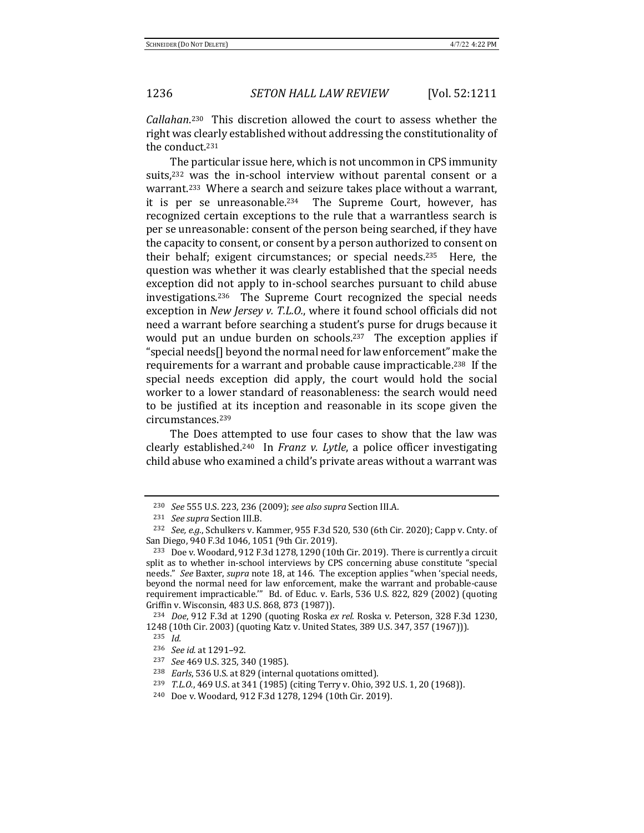Callahan.<sup>230</sup> This discretion allowed the court to assess whether the right was clearly established without addressing the constitutionality of the conduct.<sup>231</sup>

The particular issue here, which is not uncommon in CPS immunity suits, $232$  was the in-school interview without parental consent or a warrant.<sup>233</sup> Where a search and seizure takes place without a warrant, it is per se unreasonable.<sup>234</sup> The Supreme Court, however, has recognized certain exceptions to the rule that a warrantless search is per se unreasonable: consent of the person being searched, if they have the capacity to consent, or consent by a person authorized to consent on their behalf; exigent circumstances; or special needs.<sup>235</sup> Here, the question was whether it was clearly established that the special needs exception did not apply to in-school searches pursuant to child abuse investigations.<sup>236</sup> The Supreme Court recognized the special needs exception in *New Jersey v. T.L.O.*, where it found school officials did not need a warrant before searching a student's purse for drugs because it would put an undue burden on schools.<sup>237</sup> The exception applies if "special needs<sup>[]</sup> beyond the normal need for law enforcement" make the requirements for a warrant and probable cause impracticable.<sup>238</sup> If the special needs exception did apply, the court would hold the social worker to a lower standard of reasonableness: the search would need to be justified at its inception and reasonable in its scope given the circumstances.239

The Does attempted to use four cases to show that the law was clearly established.<sup>240</sup> In *Franz v. Lytle*, a police officer investigating child abuse who examined a child's private areas without a warrant was

<sup>230</sup> *See* 555 U.S. 223, 236 (2009); *see also supra* Section III.A.

<sup>&</sup>lt;sup>231</sup> See supra Section III.B.

 $232$  *See, e.g.*, Schulkers v. Kammer, 955 F.3d 520, 530 (6th Cir. 2020); Capp v. Cnty. of San Diego, 940 F.3d 1046, 1051 (9th Cir. 2019).

 $233$  Doe v. Woodard, 912 F.3d 1278, 1290 (10th Cir. 2019). There is currently a circuit split as to whether in-school interviews by CPS concerning abuse constitute "special needs." See Baxter, *supra* note 18, at 146. The exception applies "when 'special needs, beyond the normal need for law enforcement, make the warrant and probable-cause requirement impracticable." Bd. of Educ. v. Earls, 536 U.S. 822, 829 (2002) (quoting Griffin v. Wisconsin, 483 U.S. 868, 873 (1987)).

<sup>&</sup>lt;sup>234</sup> *Doe*, 912 F.3d at 1290 (quoting Roska *ex rel.* Roska v. Peterson, 328 F.3d 1230, 1248 (10th Cir. 2003) (quoting Katz v. United States, 389 U.S. 347, 357 (1967))).

<sup>235</sup> *Id.*

<sup>236</sup> *See id.* at 1291–92.

<sup>&</sup>lt;sup>237</sup> *See* 469 U.S. 325, 340 (1985).

<sup>&</sup>lt;sup>238</sup> *Earls*, 536 U.S. at 829 (internal quotations omitted).

<sup>&</sup>lt;sup>239</sup> *T.L.O.*, 469 U.S. at 341 (1985) (citing Terry v. Ohio, 392 U.S. 1, 20 (1968)).

<sup>&</sup>lt;sup>240</sup> Doe v. Woodard, 912 F.3d 1278, 1294 (10th Cir. 2019).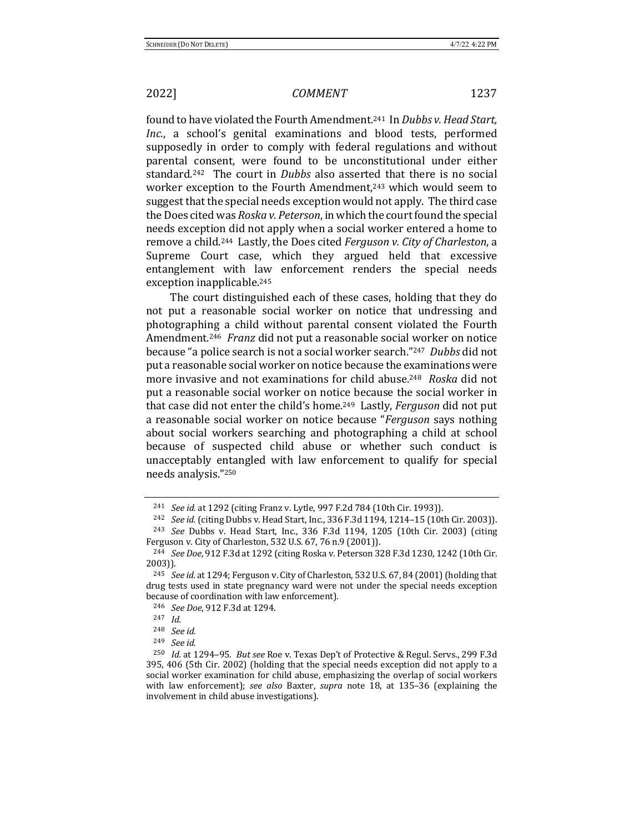found to have violated the Fourth Amendment.<sup>241</sup> In *Dubbs v. Head Start*, *Inc.*, a school's genital examinations and blood tests, performed supposedly in order to comply with federal regulations and without parental consent, were found to be unconstitutional under either standard.<sup>242</sup> The court in *Dubbs* also asserted that there is no social worker exception to the Fourth Amendment,<sup>243</sup> which would seem to suggest that the special needs exception would not apply. The third case the Does cited was *Roska v. Peterson*, in which the court found the special needs exception did not apply when a social worker entered a home to remove a child.<sup>244</sup> Lastly, the Does cited *Ferguson v. City of Charleston*, a Supreme Court case, which they argued held that excessive entanglement with law enforcement renders the special needs exception inapplicable.<sup>245</sup>

The court distinguished each of these cases, holding that they do not put a reasonable social worker on notice that undressing and photographing a child without parental consent violated the Fourth Amendment.<sup>246</sup> Franz did not put a reasonable social worker on notice because "a police search is not a social worker search."<sup>247</sup> Dubbs did not put a reasonable social worker on notice because the examinations were more invasive and not examinations for child abuse.<sup>248</sup> *Roska* did not put a reasonable social worker on notice because the social worker in that case did not enter the child's home.<sup>249</sup> Lastly, *Ferguson* did not put a reasonable social worker on notice because "*Ferguson* says nothing about social workers searching and photographing a child at school because of suspected child abuse or whether such conduct is unacceptably entangled with law enforcement to qualify for special needs analysis."250

<sup>&</sup>lt;sup>241</sup> *See id.* at 1292 (citing Franz v. Lytle, 997 F.2d 784 (10th Cir. 1993)).

<sup>&</sup>lt;sup>242</sup> *See id.* (citing Dubbs v. Head Start, Inc., 336 F.3d 1194, 1214-15 (10th Cir. 2003)).

<sup>&</sup>lt;sup>243</sup> *See* Dubbs v. Head Start, Inc., 336 F.3d 1194, 1205 (10th Cir. 2003) (citing Ferguson v. City of Charleston, 532 U.S. 67, 76 n.9 (2001)).

<sup>&</sup>lt;sup>244</sup> *See Doe*, 912 F.3d at 1292 (citing Roska v. Peterson 328 F.3d 1230, 1242 (10th Cir. 2003)).

 $245$  *See id.* at 1294; Ferguson v. City of Charleston, 532 U.S. 67, 84 (2001) (holding that drug tests used in state pregnancy ward were not under the special needs exception because of coordination with law enforcement).

<sup>246</sup> *See Doe*, 912 F.3d at 1294.

<sup>247</sup> *Id.*

<sup>248</sup> *See id.*

<sup>249</sup> *See id.*

<sup>&</sup>lt;sup>250</sup> *Id.* at 1294-95. *But see* Roe v. Texas Dep't of Protective & Regul. Servs., 299 F.3d 395, 406 (5th Cir. 2002) (holding that the special needs exception did not apply to a social worker examination for child abuse, emphasizing the overlap of social workers with law enforcement); see also Baxter, supra note 18, at 135-36 (explaining the involvement in child abuse investigations).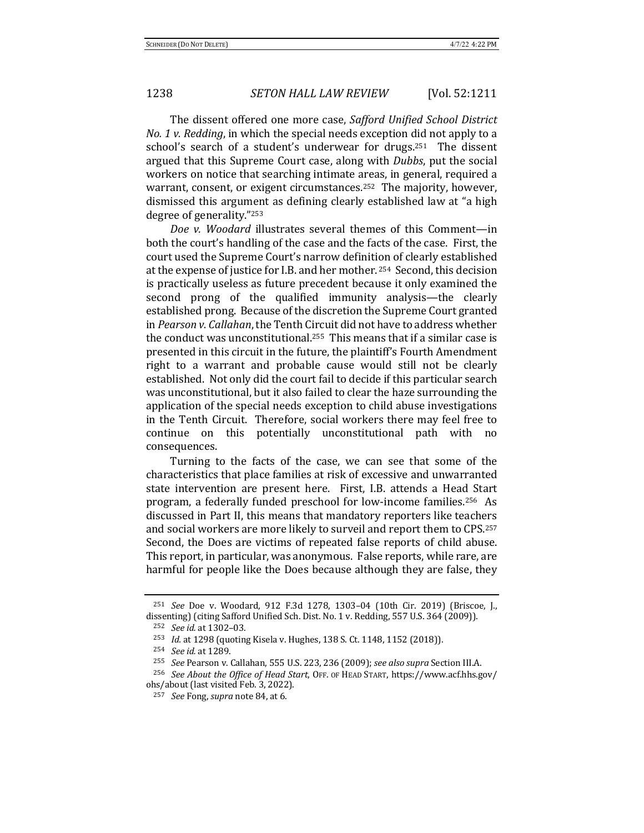The dissent offered one more case, Safford Unified School District *No.* 1 v. Redding, in which the special needs exception did not apply to a school's search of a student's underwear for drugs.<sup>251</sup> The dissent argued that this Supreme Court case, along with *Dubbs*, put the social workers on notice that searching intimate areas, in general, required a warrant, consent, or exigent circumstances.<sup>252</sup> The majority, however, dismissed this argument as defining clearly established law at "a high degree of generality."<sup>253</sup>

*Doe v. Woodard* illustrates several themes of this Comment—in both the court's handling of the case and the facts of the case. First, the court used the Supreme Court's narrow definition of clearly established at the expense of justice for I.B. and her mother. 254 Second, this decision is practically useless as future precedent because it only examined the second prong of the qualified immunity analysis—the clearly established prong. Because of the discretion the Supreme Court granted in *Pearson v. Callahan*, the Tenth Circuit did not have to address whether the conduct was unconstitutional.<sup>255</sup> This means that if a similar case is presented in this circuit in the future, the plaintiff's Fourth Amendment right to a warrant and probable cause would still not be clearly established. Not only did the court fail to decide if this particular search was unconstitutional, but it also failed to clear the haze surrounding the application of the special needs exception to child abuse investigations in the Tenth Circuit. Therefore, social workers there may feel free to continue on this potentially unconstitutional path with no consequences.

Turning to the facts of the case, we can see that some of the characteristics that place families at risk of excessive and unwarranted state intervention are present here. First, I.B. attends a Head Start program, a federally funded preschool for low-income families.<sup>256</sup> As discussed in Part II, this means that mandatory reporters like teachers and social workers are more likely to surveil and report them to CPS.<sup>257</sup> Second, the Does are victims of repeated false reports of child abuse. This report, in particular, was anonymous. False reports, while rare, are harmful for people like the Does because although they are false, they

<sup>&</sup>lt;sup>251</sup> *See* Doe v. Woodard, 912 F.3d 1278, 1303-04 (10th Cir. 2019) (Briscoe, J., dissenting) (citing Safford Unified Sch. Dist. No. 1 v. Redding, 557 U.S. 364 (2009)).

<sup>&</sup>lt;sup>252</sup> *See id.* at 1302-03.

<sup>&</sup>lt;sup>253</sup> *Id.* at 1298 (quoting Kisela v. Hughes, 138 S. Ct. 1148, 1152 (2018)).

<sup>&</sup>lt;sup>254</sup> *See id.* at 1289.

<sup>&</sup>lt;sup>255</sup> *See* Pearson v. Callahan, 555 U.S. 223, 236 (2009); see also supra Section III.A.

<sup>&</sup>lt;sup>256</sup> *See About the Office of Head Start*, OFF. OF HEAD START, https://www.acf.hhs.gov/ ohs/about (last visited Feb. 3, 2022).

<sup>&</sup>lt;sup>257</sup> *See* Fong, *supra* note 84, at 6.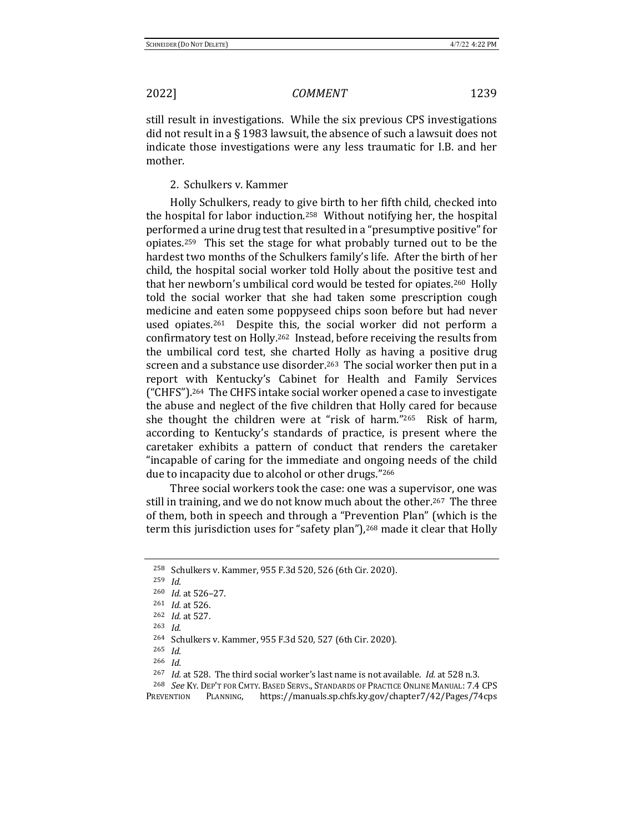still result in investigations. While the six previous CPS investigations did not result in a  $\S$  1983 lawsuit, the absence of such a lawsuit does not indicate those investigations were any less traumatic for I.B. and her mother.

2. Schulkers v. Kammer

Holly Schulkers, ready to give birth to her fifth child, checked into the hospital for labor induction.<sup>258</sup> Without notifying her, the hospital performed a urine drug test that resulted in a "presumptive positive" for opiates.<sup>259</sup> This set the stage for what probably turned out to be the hardest two months of the Schulkers family's life. After the birth of her child, the hospital social worker told Holly about the positive test and that her newborn's umbilical cord would be tested for opiates.<sup>260</sup> Holly told the social worker that she had taken some prescription cough medicine and eaten some poppyseed chips soon before but had never used opiates.<sup>261</sup> Despite this, the social worker did not perform a confirmatory test on Holly.<sup>262</sup> Instead, before receiving the results from the umbilical cord test, she charted Holly as having a positive drug screen and a substance use disorder.<sup>263</sup> The social worker then put in a report with Kentucky's Cabinet for Health and Family Services ("CHFS").<sup>264</sup> The CHFS intake social worker opened a case to investigate the abuse and neglect of the five children that Holly cared for because she thought the children were at "risk of harm." $265$  Risk of harm, according to Kentucky's standards of practice, is present where the caretaker exhibits a pattern of conduct that renders the caretaker "incapable of caring for the immediate and ongoing needs of the child due to incapacity due to alcohol or other drugs."266

Three social workers took the case: one was a supervisor, one was still in training, and we do not know much about the other.<sup>267</sup> The three of them, both in speech and through a "Prevention Plan" (which is the term this jurisdiction uses for "safety plan"),<sup>268</sup> made it clear that Holly

<sup>&</sup>lt;sup>258</sup> Schulkers v. Kammer, 955 F.3d 520, 526 (6th Cir. 2020).

<sup>259</sup> *Id.*

<sup>260</sup> *Id.* at 526-27.

<sup>&</sup>lt;sup>261</sup> *Id.* at 526.

<sup>262</sup> *Id.* at 527.

<sup>263</sup> *Id.* 

<sup>264</sup> Schulkers v. Kammer, 955 F.3d 520, 527 (6th Cir. 2020).

<sup>265</sup> *Id.*

<sup>266</sup> *Id.*

<sup>&</sup>lt;sup>267</sup> *Id.* at 528. The third social worker's last name is not available. *Id.* at 528 n.3.

<sup>&</sup>lt;sup>268</sup> See Ky. Dep't for Cmty. Based Servs., Standards of Practice Online Manual: 7.4 CPS

PREVENTION PLANNING, https://manuals.sp.chfs.ky.gov/chapter7/42/Pages/74cps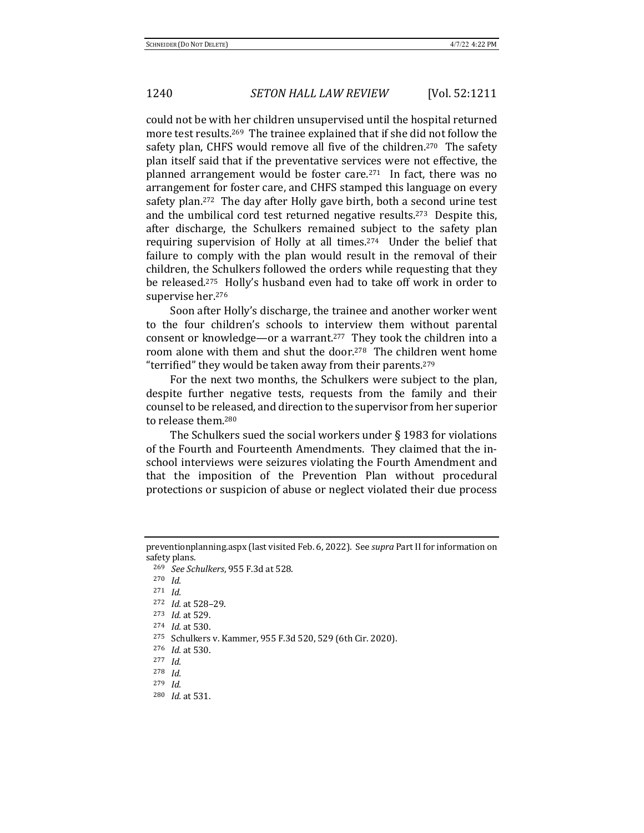could not be with her children unsupervised until the hospital returned more test results.<sup>269</sup> The trainee explained that if she did not follow the safety plan, CHFS would remove all five of the children.<sup>270</sup> The safety plan itself said that if the preventative services were not effective, the planned arrangement would be foster care.<sup>271</sup> In fact, there was no arrangement for foster care, and CHFS stamped this language on every safety plan.<sup>272</sup> The day after Holly gave birth, both a second urine test and the umbilical cord test returned negative results.<sup>273</sup> Despite this, after discharge, the Schulkers remained subject to the safety plan requiring supervision of Holly at all times.<sup>274</sup> Under the belief that failure to comply with the plan would result in the removal of their children, the Schulkers followed the orders while requesting that they be released.<sup>275</sup> Holly's husband even had to take off work in order to supervise her.<sup>276</sup>

Soon after Holly's discharge, the trainee and another worker went to the four children's schools to interview them without parental consent or knowledge—or a warrant.<sup>277</sup> They took the children into a room alone with them and shut the door.<sup>278</sup> The children went home "terrified" they would be taken away from their parents.<sup>279</sup>

For the next two months, the Schulkers were subject to the plan, despite further negative tests, requests from the family and their counsel to be released, and direction to the supervisor from her superior to release them.<sup>280</sup>

The Schulkers sued the social workers under  $\S$  1983 for violations of the Fourth and Fourteenth Amendments. They claimed that the inschool interviews were seizures violating the Fourth Amendment and that the imposition of the Prevention Plan without procedural protections or suspicion of abuse or neglect violated their due process

<sup>269</sup> *See Schulkers*, 955 F.3d at 528.

preventionplanning.aspx (last visited Feb. 6, 2022). See *supra* Part II for information on safety plans.

<sup>270</sup> *Id.*

<sup>271</sup> *Id.*

<sup>272</sup> *Id.* at 528-29.

<sup>273</sup> *Id.* at 529.

<sup>274</sup> *Id.* at 530.

<sup>275</sup> Schulkers v. Kammer, 955 F.3d 520, 529 (6th Cir. 2020).

<sup>276</sup> *Id.* at 530.

<sup>277</sup> *Id.*

<sup>278</sup> *Id.*

<sup>279</sup> *Id.*

<sup>280</sup> *Id.* at 531.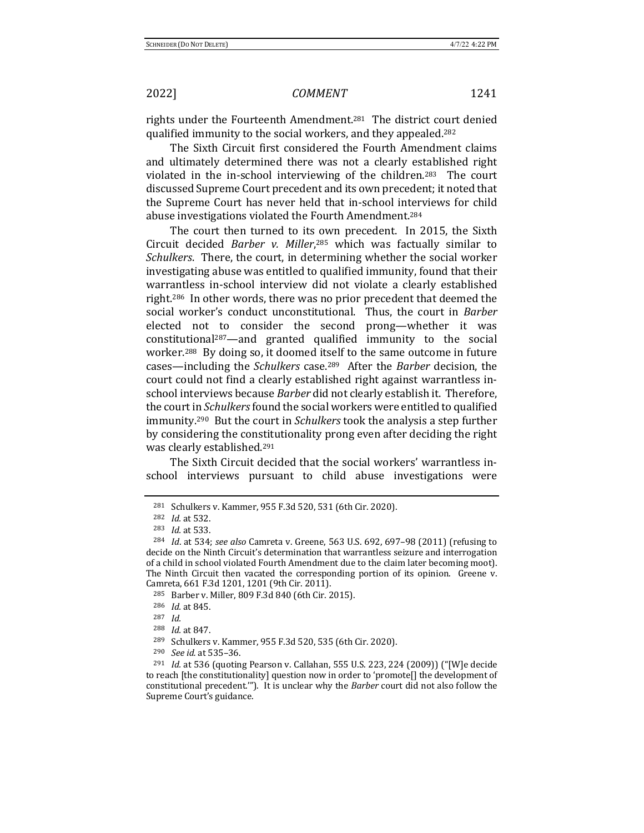rights under the Fourteenth Amendment.<sup>281</sup> The district court denied qualified immunity to the social workers, and they appealed.<sup>282</sup>

The Sixth Circuit first considered the Fourth Amendment claims and ultimately determined there was not a clearly established right violated in the in-school interviewing of the children.<sup>283</sup> The court discussed Supreme Court precedent and its own precedent; it noted that the Supreme Court has never held that in-school interviews for child abuse investigations violated the Fourth Amendment.<sup>284</sup>

The court then turned to its own precedent. In 2015, the Sixth Circuit decided *Barber v. Miller*,<sup>285</sup> which was factually similar to *Schulkers*. There, the court, in determining whether the social worker investigating abuse was entitled to qualified immunity, found that their warrantless in-school interview did not violate a clearly established right.<sup>286</sup> In other words, there was no prior precedent that deemed the social worker's conduct unconstitutional. Thus, the court in *Barber* elected not to consider the second prong—whether it was constitutional<sup>287</sup>—and granted qualified immunity to the social worker.<sup>288</sup> By doing so, it doomed itself to the same outcome in future cases—including the *Schulkers* case.<sup>289</sup> After the *Barber* decision, the court could not find a clearly established right against warrantless inschool interviews because *Barber* did not clearly establish it. Therefore, the court in *Schulkers* found the social workers were entitled to qualified immunity.<sup>290</sup> But the court in *Schulkers* took the analysis a step further by considering the constitutionality prong even after deciding the right was clearly established.<sup>291</sup>

The Sixth Circuit decided that the social workers' warrantless inschool interviews pursuant to child abuse investigations were

<sup>&</sup>lt;sup>281</sup> Schulkers v. Kammer, 955 F.3d 520, 531 (6th Cir. 2020).

<sup>&</sup>lt;sup>282</sup> *Id.* at 532.

<sup>283</sup> *Id.* at 533.

<sup>&</sup>lt;sup>284</sup> *Id.* at 534; *see also* Camreta v. Greene, 563 U.S. 692, 697–98 (2011) (refusing to decide on the Ninth Circuit's determination that warrantless seizure and interrogation of a child in school violated Fourth Amendment due to the claim later becoming moot). The Ninth Circuit then vacated the corresponding portion of its opinion. Greene v. Camreta, 661 F.3d 1201, 1201 (9th Cir. 2011).

<sup>285</sup> Barber v. Miller, 809 F.3d 840 (6th Cir. 2015).

<sup>286</sup> *Id.* at 845.

<sup>287</sup> *Id.*

<sup>&</sup>lt;sup>288</sup> *Id.* at 847.

<sup>289</sup> Schulkers v. Kammer, 955 F.3d 520, 535 (6th Cir. 2020).

<sup>&</sup>lt;sup>290</sup> *See id.* at 535-36.

<sup>&</sup>lt;sup>291</sup> *Id.* at 536 (quoting Pearson v. Callahan, 555 U.S. 223, 224 (2009)) ("[W]e decide to reach [the constitutionality] question now in order to 'promote[] the development of constitutional precedent.""). It is unclear why the *Barber* court did not also follow the Supreme Court's guidance.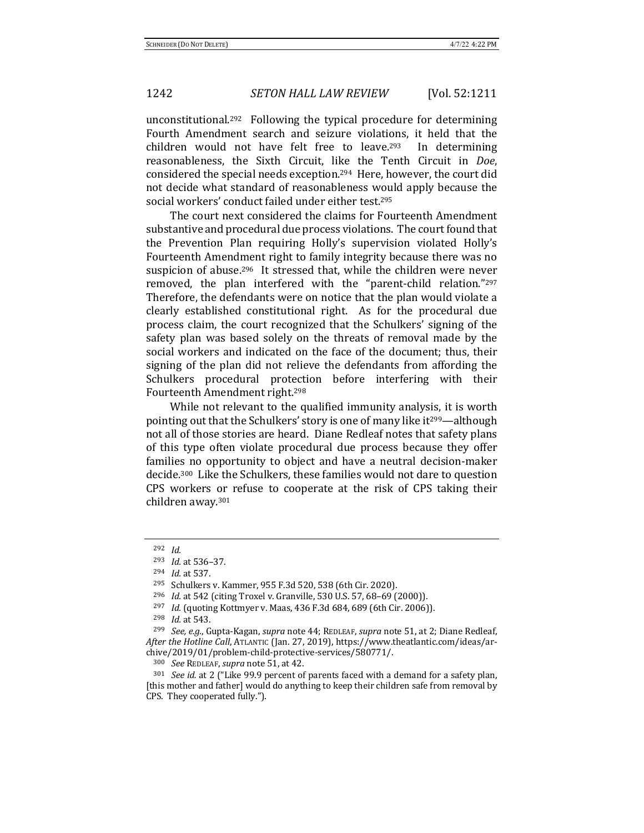unconstitutional.<sup>292</sup> Following the typical procedure for determining Fourth Amendment search and seizure violations, it held that the children would not have felt free to leave.<sup>293</sup> In determining reasonableness, the Sixth Circuit, like the Tenth Circuit in *Doe*, considered the special needs exception.<sup>294</sup> Here, however, the court did not decide what standard of reasonableness would apply because the social workers' conduct failed under either test.<sup>295</sup>

The court next considered the claims for Fourteenth Amendment substantive and procedural due process violations. The court found that the Prevention Plan requiring Holly's supervision violated Holly's Fourteenth Amendment right to family integrity because there was no suspicion of abuse.<sup>296</sup> It stressed that, while the children were never removed, the plan interfered with the "parent-child relation."297 Therefore, the defendants were on notice that the plan would violate a clearly established constitutional right. As for the procedural due process claim, the court recognized that the Schulkers' signing of the safety plan was based solely on the threats of removal made by the social workers and indicated on the face of the document; thus, their signing of the plan did not relieve the defendants from affording the Schulkers procedural protection before interfering with their Fourteenth Amendment right.<sup>298</sup>

While not relevant to the qualified immunity analysis, it is worth pointing out that the Schulkers' story is one of many like it<sup>299</sup>—although not all of those stories are heard. Diane Redleaf notes that safety plans of this type often violate procedural due process because they offer families no opportunity to object and have a neutral decision-maker decide.<sup>300</sup> Like the Schulkers, these families would not dare to question CPS workers or refuse to cooperate at the risk of CPS taking their children away.<sup>301</sup>

<sup>292</sup> *Id.*

<sup>293</sup> *Id.* at 536-37.

<sup>294</sup> *Id.* at 537.

<sup>295</sup> Schulkers v. Kammer, 955 F.3d 520, 538 (6th Cir. 2020).

<sup>&</sup>lt;sup>296</sup> *Id.* at 542 (citing Troxel v. Granville, 530 U.S. 57, 68-69 (2000)).

<sup>&</sup>lt;sup>297</sup> *Id.* (quoting Kottmyer v. Maas, 436 F.3d 684, 689 (6th Cir. 2006)).

<sup>298</sup> *Id.* at 543.

<sup>&</sup>lt;sup>299</sup> *See, e.g.*, Gupta-Kagan, *supra* note 44; REDLEAF, *supra* note 51, at 2; Diane Redleaf, After the Hotline Call, ATLANTIC (Jan. 27, 2019), https://www.theatlantic.com/ideas/archive/2019/01/problem-child-protective-services/580771/.

<sup>300</sup> *See* REDLEAF, *supra* note 51, at 42.

 $301$  *See id.* at 2 ("Like 99.9 percent of parents faced with a demand for a safety plan, [this mother and father] would do anything to keep their children safe from removal by CPS. They cooperated fully.").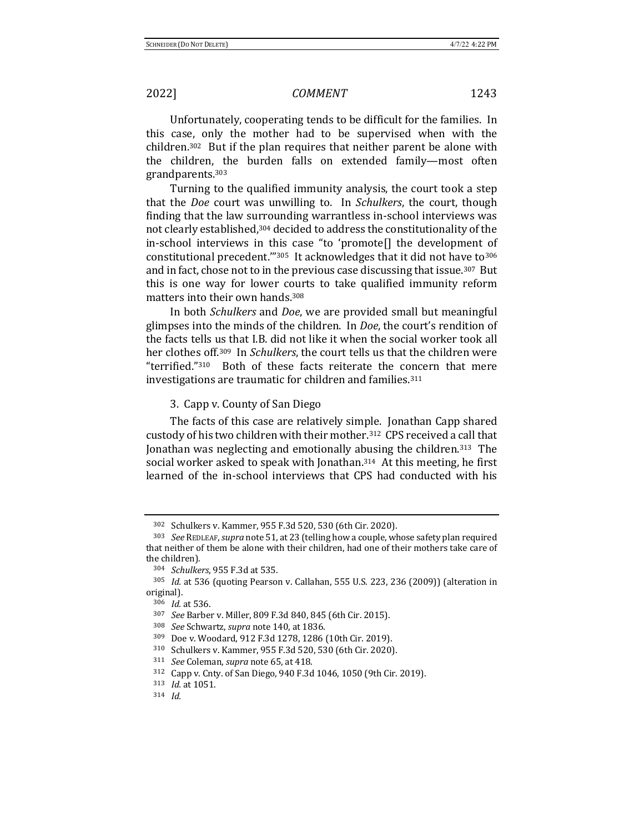Unfortunately, cooperating tends to be difficult for the families. In this case, only the mother had to be supervised when with the children.<sup>302</sup> But if the plan requires that neither parent be alone with the children, the burden falls on extended family—most often grandparents.303

Turning to the qualified immunity analysis, the court took a step that the *Doe* court was unwilling to. In *Schulkers*, the court, though finding that the law surrounding warrantless in-school interviews was not clearly established,<sup>304</sup> decided to address the constitutionality of the in-school interviews in this case "to 'promote[] the development of constitutional precedent."<sup>305</sup> It acknowledges that it did not have to<sup>306</sup> and in fact, chose not to in the previous case discussing that issue.<sup>307</sup> But this is one way for lower courts to take qualified immunity reform matters into their own hands.<sup>308</sup>

In both *Schulkers* and *Doe*, we are provided small but meaningful glimpses into the minds of the children. In *Doe*, the court's rendition of the facts tells us that I.B. did not like it when the social worker took all her clothes off.<sup>309</sup> In *Schulkers*, the court tells us that the children were "terrified."<sup>310</sup> Both of these facts reiterate the concern that mere investigations are traumatic for children and families. $311$ 

3. Capp v. County of San Diego

The facts of this case are relatively simple. Jonathan Capp shared custody of his two children with their mother.<sup>312</sup> CPS received a call that Jonathan was neglecting and emotionally abusing the children.<sup>313</sup> The social worker asked to speak with Jonathan.<sup>314</sup> At this meeting, he first learned of the in-school interviews that CPS had conducted with his

<sup>302</sup> Schulkers v. Kammer, 955 F.3d 520, 530 (6th Cir. 2020).

<sup>&</sup>lt;sup>303</sup> *See* REDLEAF, *supra* note 51, at 23 (telling how a couple, whose safety plan required that neither of them be alone with their children, had one of their mothers take care of the children).

<sup>304</sup> *Schulkers*, 955 F.3d at 535.

<sup>&</sup>lt;sup>305</sup> *Id.* at 536 (quoting Pearson v. Callahan, 555 U.S. 223, 236 (2009)) (alteration in original).

<sup>306</sup> *Id.* at 536.

<sup>307</sup> *See* Barber v. Miller, 809 F.3d 840, 845 (6th Cir. 2015).

<sup>308</sup> *See* Schwartz, *supra* note 140, at 1836.

<sup>309</sup> Doe v. Woodard, 912 F.3d 1278, 1286 (10th Cir. 2019).

<sup>310</sup> Schulkers v. Kammer, 955 F.3d 520, 530 (6th Cir. 2020).

<sup>&</sup>lt;sup>311</sup> *See* Coleman, *supra* note 65, at 418.

<sup>312</sup> Capp v. Cnty. of San Diego, 940 F.3d 1046, 1050 (9th Cir. 2019).

<sup>313</sup> *Id.* at 1051.

<sup>314</sup> *Id.*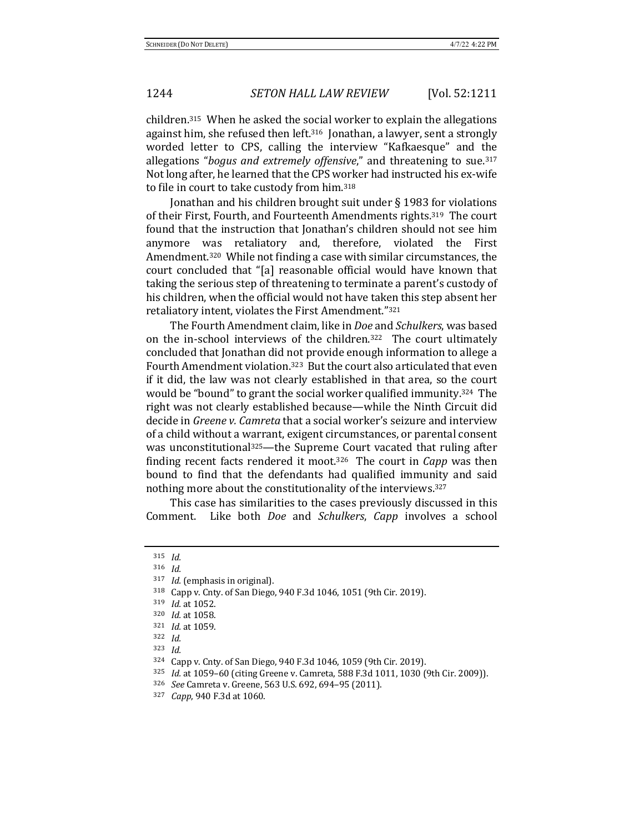children.<sup>315</sup> When he asked the social worker to explain the allegations against him, she refused then left.<sup>316</sup> Jonathan, a lawyer, sent a strongly worded letter to CPS, calling the interview "Kafkaesque" and the allegations "*bogus and extremely offensive*," and threatening to sue.<sup>317</sup> Not long after, he learned that the CPS worker had instructed his ex-wife to file in court to take custody from him.<sup>318</sup>

Jonathan and his children brought suit under  $\S$  1983 for violations of their First, Fourth, and Fourteenth Amendments rights.<sup>319</sup> The court found that the instruction that Jonathan's children should not see him anymore was retaliatory and, therefore, violated the First Amendment.<sup>320</sup> While not finding a case with similar circumstances, the court concluded that "[a] reasonable official would have known that taking the serious step of threatening to terminate a parent's custody of his children, when the official would not have taken this step absent her retaliatory intent, violates the First Amendment."321

The Fourth Amendment claim, like in *Doe* and *Schulkers*, was based on the in-school interviews of the children.<sup>322</sup> The court ultimately concluded that Jonathan did not provide enough information to allege a Fourth Amendment violation.<sup>323</sup> But the court also articulated that even if it did, the law was not clearly established in that area, so the court would be "bound" to grant the social worker qualified immunity.<sup>324</sup> The right was not clearly established because—while the Ninth Circuit did decide in *Greene v. Camreta* that a social worker's seizure and interview of a child without a warrant, exigent circumstances, or parental consent was unconstitutional<sup>325</sup>—the Supreme Court vacated that ruling after finding recent facts rendered it moot.<sup>326</sup> The court in *Capp* was then bound to find that the defendants had qualified immunity and said nothing more about the constitutionality of the interviews.<sup>327</sup>

This case has similarities to the cases previously discussed in this Comment. Like both *Doe* and *Schulkers*, *Capp* involves a school

<sup>315</sup> *Id.*

<sup>316</sup> *Id.*

<sup>&</sup>lt;sup>317</sup> *Id.* (emphasis in original).

<sup>318</sup> Capp v. Cnty. of San Diego, 940 F.3d 1046, 1051 (9th Cir. 2019).

<sup>319</sup> *Id.* at 1052.

<sup>320</sup> *Id.* at 1058.

<sup>321</sup> *Id.* at 1059.

<sup>322</sup> *Id.*

<sup>323</sup> *Id.*

<sup>324</sup> Capp v. Cnty. of San Diego, 940 F.3d 1046, 1059 (9th Cir. 2019).

<sup>325</sup> *Id.* at 1059-60 (citing Greene v. Camreta, 588 F.3d 1011, 1030 (9th Cir. 2009)).

<sup>326</sup> *See* Camreta v. Greene, 563 U.S. 692, 694-95 (2011).

<sup>327</sup> *Capp*, 940 F.3d at 1060.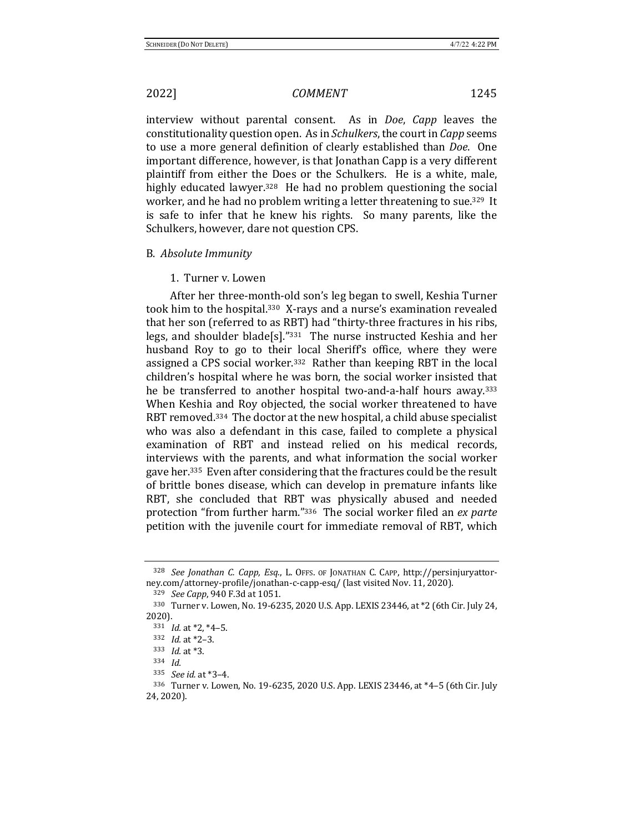interview without parental consent. As in *Doe*, *Capp* leaves the constitutionality question open. As in *Schulkers*, the court in *Capp* seems to use a more general definition of clearly established than *Doe*. One important difference, however, is that Jonathan Capp is a very different plaintiff from either the Does or the Schulkers. He is a white, male, highly educated lawyer.<sup>328</sup> He had no problem questioning the social worker, and he had no problem writing a letter threatening to sue.<sup>329</sup> It is safe to infer that he knew his rights. So many parents, like the Schulkers, however, dare not question CPS.

### B. *Absolute Immunity*

### 1. Turner v. Lowen

After her three-month-old son's leg began to swell, Keshia Turner took him to the hospital.<sup>330</sup> X-rays and a nurse's examination revealed that her son (referred to as RBT) had "thirty-three fractures in his ribs, legs, and shoulder blade[s]." $331$  The nurse instructed Keshia and her husband Roy to go to their local Sheriff's office, where they were assigned a CPS social worker.<sup>332</sup> Rather than keeping RBT in the local children's hospital where he was born, the social worker insisted that he be transferred to another hospital two-and-a-half hours away.<sup>333</sup> When Keshia and Roy objected, the social worker threatened to have RBT removed.<sup>334</sup> The doctor at the new hospital, a child abuse specialist who was also a defendant in this case, failed to complete a physical examination of RBT and instead relied on his medical records, interviews with the parents, and what information the social worker gave her.<sup>335</sup> Even after considering that the fractures could be the result of brittle bones disease, which can develop in premature infants like RBT, she concluded that RBT was physically abused and needed protection "from further harm."<sup>336</sup> The social worker filed an *ex parte* petition with the juvenile court for immediate removal of RBT, which

<sup>&</sup>lt;sup>328</sup> See Jonathan C. Capp, Esq., L. OFFS. OF JONATHAN C. CAPP, http://persinjuryattorney.com/attorney-profile/jonathan-c-capp-esq/ (last visited Nov. 11, 2020).

<sup>329</sup> *See Capp*, 940 F.3d at 1051.

<sup>330</sup> Turner v. Lowen, No. 19-6235, 2020 U.S. App. LEXIS 23446, at \*2 (6th Cir. July 24, 2020).

<sup>331</sup> *Id.* at \*2, \*4-5.

<sup>332</sup> *Id.* at \*2-3.

<sup>333</sup> *Id.* at \*3.

<sup>334</sup> *Id.*

<sup>335</sup> *See id.* at \*3–4.

<sup>336</sup> Turner v. Lowen, No. 19-6235, 2020 U.S. App. LEXIS 23446, at \*4-5 (6th Cir. July 24, 2020).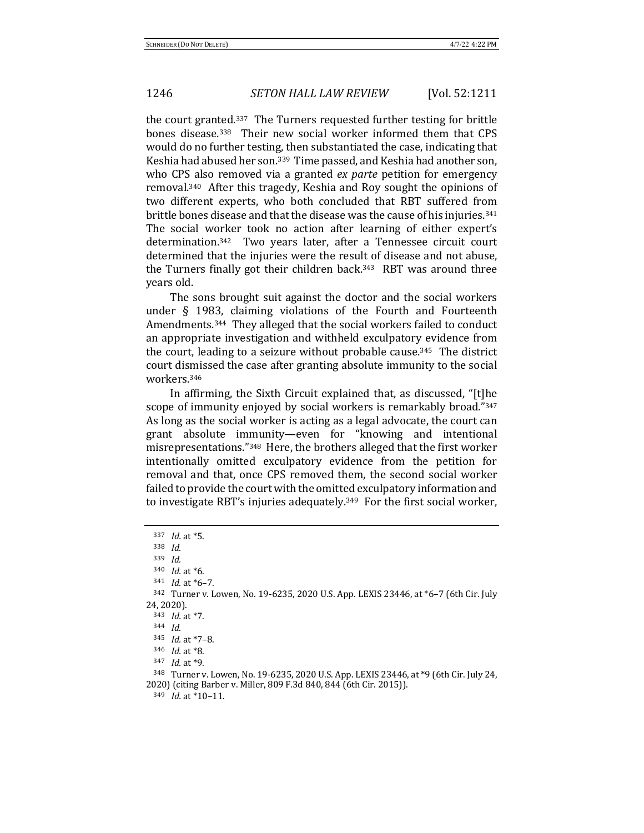the court granted.<sup>337</sup> The Turners requested further testing for brittle bones disease.<sup>338</sup> Their new social worker informed them that CPS would do no further testing, then substantiated the case, indicating that Keshia had abused her son.<sup>339</sup> Time passed, and Keshia had another son, who CPS also removed via a granted *ex parte* petition for emergency removal.<sup>340</sup> After this tragedy, Keshia and Roy sought the opinions of two different experts, who both concluded that RBT suffered from brittle bones disease and that the disease was the cause of his injuries.<sup>341</sup> The social worker took no action after learning of either expert's determination.<sup>342</sup> Two years later, after a Tennessee circuit court determined that the injuries were the result of disease and not abuse, the Turners finally got their children back.<sup>343</sup> RBT was around three years old. 

The sons brought suit against the doctor and the social workers under  $\S$  1983, claiming violations of the Fourth and Fourteenth Amendments.<sup>344</sup> They alleged that the social workers failed to conduct an appropriate investigation and withheld exculpatory evidence from the court, leading to a seizure without probable cause.<sup>345</sup> The district court dismissed the case after granting absolute immunity to the social workers.346

In affirming, the Sixth Circuit explained that, as discussed, "[t]he scope of immunity enjoyed by social workers is remarkably broad."347 As long as the social worker is acting as a legal advocate, the court can grant absolute immunity—even for "knowing and intentional misrepresentations."<sup>348</sup> Here, the brothers alleged that the first worker intentionally omitted exculpatory evidence from the petition for removal and that, once CPS removed them, the second social worker failed to provide the court with the omitted exculpatory information and to investigate RBT's injuries adequately.<sup>349</sup> For the first social worker,

<sup>337</sup> *Id.* at \*5.

<sup>338</sup> *Id.*

<sup>339</sup> *Id.*

<sup>340</sup> *Id.* at \*6.

<sup>341</sup> *Id.* at \*6-7.

 $342$  Turner v. Lowen, No. 19-6235, 2020 U.S. App. LEXIS 23446, at  $*6-7$  (6th Cir. July 24, 2020).

<sup>343</sup> *Id.* at \*7.

<sup>344</sup> *Id.*

<sup>345</sup> *Id.* at \*7-8.

<sup>346</sup> *Id.* at \*8.

<sup>347</sup> *Id.* at \*9.

 $348$  Turner v. Lowen, No. 19-6235, 2020 U.S. App. LEXIS 23446, at  $*9$  (6th Cir. July 24, 2020) (citing Barber v. Miller, 809 F.3d 840, 844 (6th Cir. 2015)).

 $349$  *Id.* at  $*10-11$ .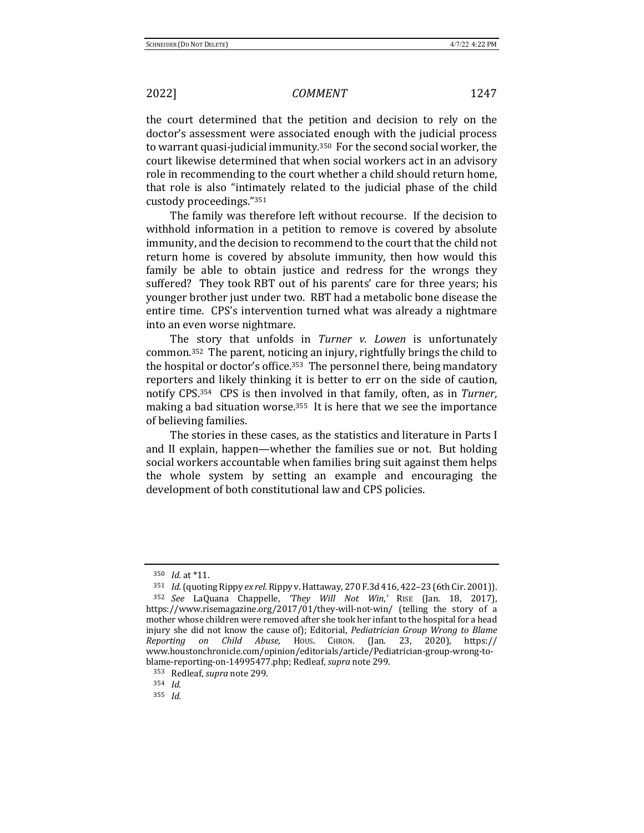the court determined that the petition and decision to rely on the doctor's assessment were associated enough with the judicial process to warrant quasi-judicial immunity.<sup>350</sup> For the second social worker, the court likewise determined that when social workers act in an advisory role in recommending to the court whether a child should return home, that role is also "intimately related to the judicial phase of the child custody proceedings."351

The family was therefore left without recourse. If the decision to withhold information in a petition to remove is covered by absolute immunity, and the decision to recommend to the court that the child not return home is covered by absolute immunity, then how would this family be able to obtain justice and redress for the wrongs they suffered? They took RBT out of his parents' care for three years; his younger brother just under two. RBT had a metabolic bone disease the entire time. CPS's intervention turned what was already a nightmare into an even worse nightmare.

The story that unfolds in *Turner v. Lowen* is unfortunately common.<sup>352</sup> The parent, noticing an injury, rightfully brings the child to the hospital or doctor's office.<sup>353</sup> The personnel there, being mandatory reporters and likely thinking it is better to err on the side of caution, notify CPS.<sup>354</sup> CPS is then involved in that family, often, as in *Turner*, making a bad situation worse. $355$  It is here that we see the importance of believing families.

The stories in these cases, as the statistics and literature in Parts I and II explain, happen—whether the families sue or not. But holding social workers accountable when families bring suit against them helps the whole system by setting an example and encouraging the development of both constitutional law and CPS policies.

<sup>350</sup> *Id.* at \*11.

<sup>351</sup> *Id.* (quoting Rippy ex rel. Rippy v. Hattaway, 270 F.3d 416, 422-23 (6th Cir. 2001)).

<sup>352</sup> *See*  LaQuana Chappelle, *'They Will Not Win*,*'* RISE (Jan. 18, 2017), https://www.risemagazine.org/2017/01/they-will-not-win/ (telling the story of a mother whose children were removed after she took her infant to the hospital for a head injury she did not know the cause of); Editorial, *Pediatrician Group Wrong to Blame Reporting on Child Abuse*, HOUS. CHRON. (Jan. 23, 2020), https:// www.houstonchronicle.com/opinion/editorials/article/Pediatrician-group-wrong-toblame-reporting-on-14995477.php; Redleaf, *supra* note 299.

<sup>353</sup> Redleaf, *supra* note 299.

<sup>354</sup> *Id.*

<sup>355</sup> *Id.*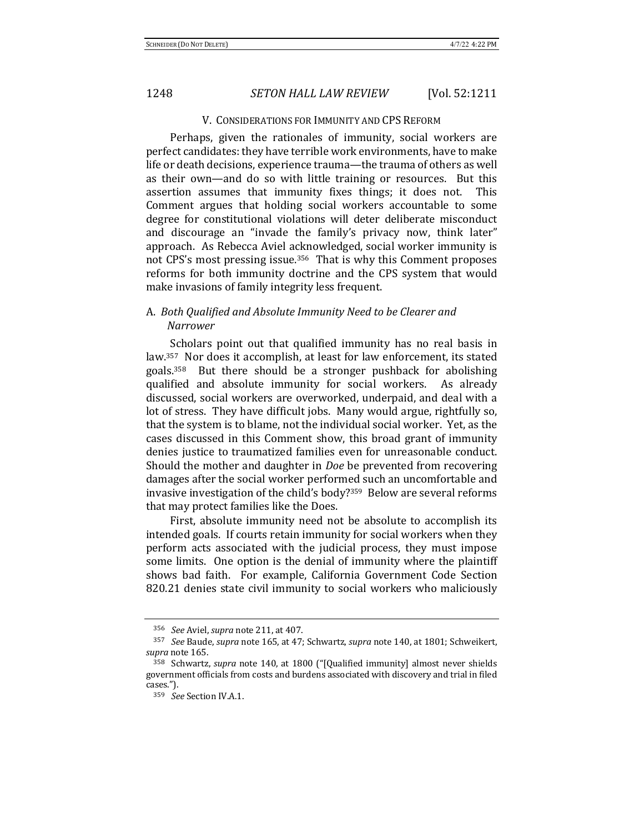### V. CONSIDERATIONS FOR IMMUNITY AND CPS REFORM

Perhaps, given the rationales of immunity, social workers are perfect candidates: they have terrible work environments, have to make life or death decisions, experience trauma—the trauma of others as well as their own—and do so with little training or resources. But this assertion assumes that immunity fixes things; it does not. This Comment argues that holding social workers accountable to some degree for constitutional violations will deter deliberate misconduct and discourage an "invade the family's privacy now, think later" approach. As Rebecca Aviel acknowledged, social worker immunity is not CPS's most pressing issue.<sup>356</sup> That is why this Comment proposes reforms for both immunity doctrine and the CPS system that would make invasions of family integrity less frequent.

## A. Both Qualified and Absolute Immunity Need to be Clearer and *Narrower*

Scholars point out that qualified immunity has no real basis in law.<sup>357</sup> Nor does it accomplish, at least for law enforcement, its stated goals. $358$  But there should be a stronger pushback for abolishing qualified and absolute immunity for social workers. As already discussed, social workers are overworked, underpaid, and deal with a lot of stress. They have difficult jobs. Many would argue, rightfully so, that the system is to blame, not the individual social worker. Yet, as the cases discussed in this Comment show, this broad grant of immunity denies justice to traumatized families even for unreasonable conduct. Should the mother and daughter in *Doe* be prevented from recovering damages after the social worker performed such an uncomfortable and invasive investigation of the child's body? $359$  Below are several reforms that may protect families like the Does.

First, absolute immunity need not be absolute to accomplish its intended goals. If courts retain immunity for social workers when they perform acts associated with the judicial process, they must impose some limits. One option is the denial of immunity where the plaintiff shows bad faith. For example, California Government Code Section 820.21 denies state civil immunity to social workers who maliciously

<sup>&</sup>lt;sup>356</sup> *See* Aviel, *supra* note 211, at 407.

<sup>&</sup>lt;sup>357</sup> *See* Baude, *supra* note 165, at 47; Schwartz, *supra* note 140, at 1801; Schweikert, supra note 165.

<sup>&</sup>lt;sup>358</sup> Schwartz, *supra* note 140, at 1800 ("[Qualified immunity] almost never shields government officials from costs and burdens associated with discovery and trial in filed cases."). 

<sup>&</sup>lt;sup>359</sup> *See* Section IV.A.1.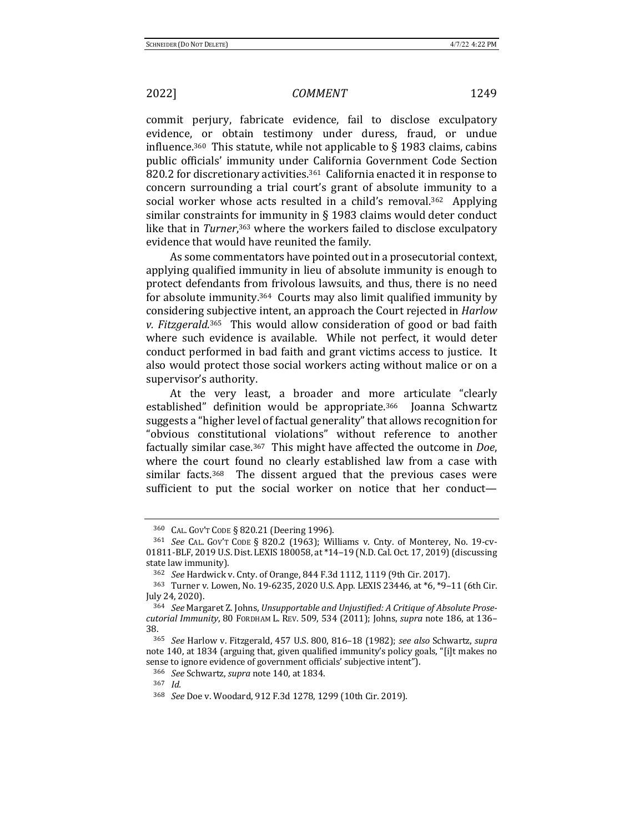commit perjury, fabricate evidence, fail to disclose exculpatory evidence, or obtain testimony under duress, fraud, or undue influence.<sup>360</sup> This statute, while not applicable to  $\S$  1983 claims, cabins public officials' immunity under California Government Code Section 820.2 for discretionary activities.<sup>361</sup> California enacted it in response to concern surrounding a trial court's grant of absolute immunity to a social worker whose acts resulted in a child's removal.<sup>362</sup> Applying similar constraints for immunity in  $\S$  1983 claims would deter conduct like that in *Turner*,<sup>363</sup> where the workers failed to disclose exculpatory evidence that would have reunited the family.

As some commentators have pointed out in a prosecutorial context, applying qualified immunity in lieu of absolute immunity is enough to protect defendants from frivolous lawsuits, and thus, there is no need for absolute immunity.<sup>364</sup> Courts may also limit qualified immunity by considering subjective intent, an approach the Court rejected in *Harlow* v. Fitzgerald.<sup>365</sup> This would allow consideration of good or bad faith where such evidence is available. While not perfect, it would deter conduct performed in bad faith and grant victims access to justice. It also would protect those social workers acting without malice or on a supervisor's authority.

At the very least, a broader and more articulate "clearly established" definition would be appropriate.<sup>366</sup> Joanna Schwartz suggests a "higher level of factual generality" that allows recognition for "obvious constitutional violations" without reference to another factually similar case.<sup>367</sup> This might have affected the outcome in *Doe*, where the court found no clearly established law from a case with similar facts. $368$  The dissent argued that the previous cases were sufficient to put the social worker on notice that her conduct—

<sup>360</sup> CAL. GOV'T CODE § 820.21 (Deering 1996).

<sup>&</sup>lt;sup>361</sup> *See* CAL. Gov't Code § 820.2 (1963); Williams v. Cnty. of Monterey, No. 19-cv-01811-BLF, 2019 U.S. Dist. LEXIS 180058, at \*14-19 (N.D. Cal. Oct. 17, 2019) (discussing state law immunity).

<sup>362</sup> *See* Hardwick v. Cnty. of Orange, 844 F.3d 1112, 1119 (9th Cir. 2017).

 $363$  Turner v. Lowen, No. 19-6235, 2020 U.S. App. LEXIS 23446, at  $*6$ ,  $*9-11$  (6th Cir. July 24, 2020).

<sup>364</sup> See Margaret Z. Johns, *Unsupportable and Unjustified: A Critique of Absolute Prosecutorial Immunity*, 80 FORDHAM L. REV. 509, 534 (2011); Johns, *supra* note 186, at 136– 38.

<sup>365</sup> *See* Harlow v. Fitzgerald, 457 U.S. 800, 816–18 (1982); *see also* Schwartz, *supra* note 140, at 1834 (arguing that, given qualified immunity's policy goals, "[i]t makes no sense to ignore evidence of government officials' subjective intent").

<sup>366</sup> *See* Schwartz, *supra* note 140, at 1834.

<sup>367</sup> *Id.*

<sup>368</sup> *See* Doe v. Woodard, 912 F.3d 1278, 1299 (10th Cir. 2019).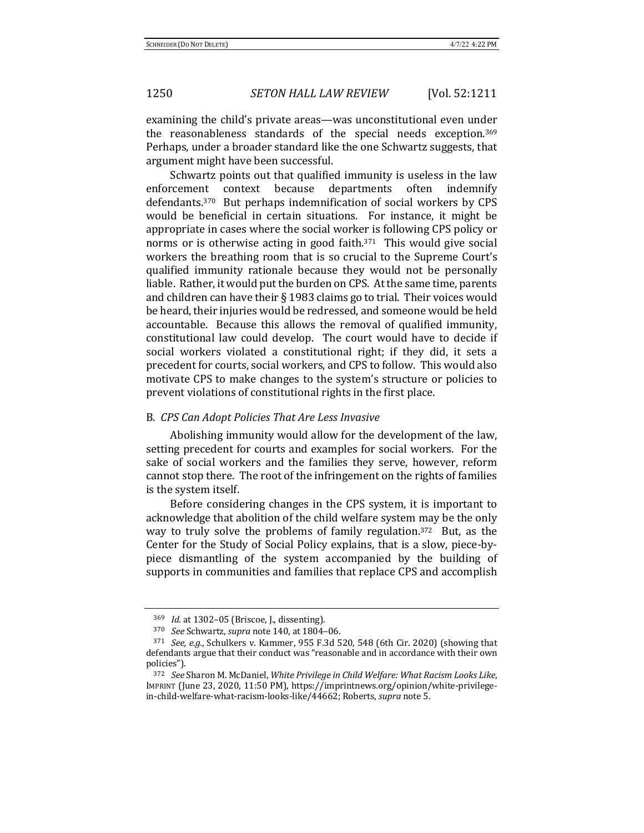examining the child's private areas—was unconstitutional even under the reasonableness standards of the special needs exception.<sup>369</sup> Perhaps, under a broader standard like the one Schwartz suggests, that argument might have been successful.

Schwartz points out that qualified immunity is useless in the law enforcement context because departments often indemnify defendants.<sup>370</sup> But perhaps indemnification of social workers by CPS would be beneficial in certain situations. For instance, it might be appropriate in cases where the social worker is following CPS policy or norms or is otherwise acting in good faith. $371$  This would give social workers the breathing room that is so crucial to the Supreme Court's qualified immunity rationale because they would not be personally liable. Rather, it would put the burden on CPS. At the same time, parents and children can have their  $\S$  1983 claims go to trial. Their voices would be heard, their injuries would be redressed, and someone would be held accountable. Because this allows the removal of qualified immunity, constitutional law could develop. The court would have to decide if social workers violated a constitutional right; if they did, it sets a precedent for courts, social workers, and CPS to follow. This would also motivate CPS to make changes to the system's structure or policies to prevent violations of constitutional rights in the first place.

## B. *CPS Can Adopt Policies That Are Less Invasive*

Abolishing immunity would allow for the development of the law, setting precedent for courts and examples for social workers. For the sake of social workers and the families they serve, however, reform cannot stop there. The root of the infringement on the rights of families is the system itself.

Before considering changes in the CPS system, it is important to acknowledge that abolition of the child welfare system may be the only way to truly solve the problems of family regulation.<sup>372</sup> But, as the Center for the Study of Social Policy explains, that is a slow, piece-bypiece dismantling of the system accompanied by the building of supports in communities and families that replace CPS and accomplish

<sup>369</sup> *Id.* at 1302-05 (Briscoe, J., dissenting).

<sup>370</sup> *See* Schwartz, *supra* note 140, at 1804-06.

<sup>&</sup>lt;sup>371</sup> *See, e.g.*, Schulkers v. Kammer, 955 F.3d 520, 548 (6th Cir. 2020) (showing that defendants argue that their conduct was "reasonable and in accordance with their own policies").

<sup>&</sup>lt;sup>372</sup> See Sharon M. McDaniel, *White Privilege in Child Welfare: What Racism Looks Like*, IMPRINT (June 23, 2020, 11:50 PM), https://imprintnews.org/opinion/white-privilegein-child-welfare-what-racism-looks-like/44662; Roberts, *supra* note 5.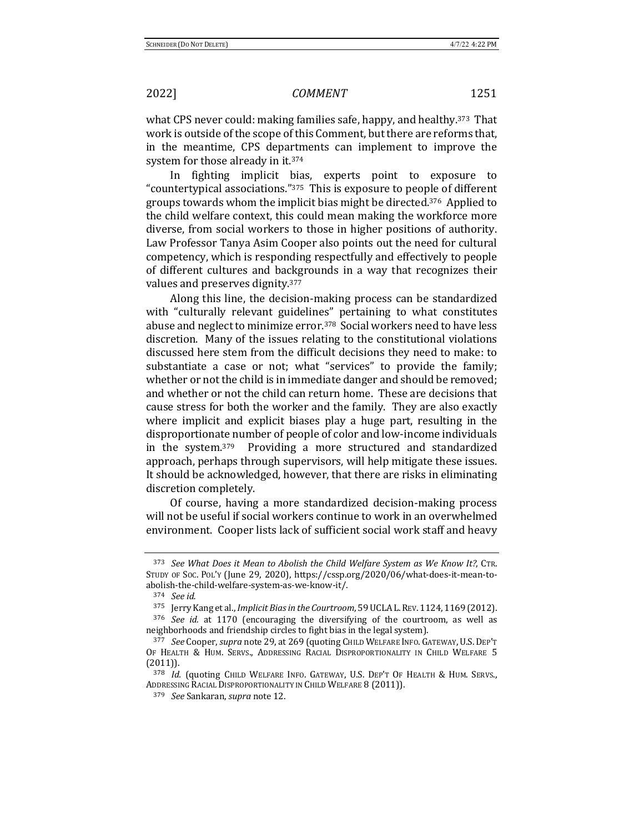what CPS never could: making families safe, happy, and healthy.<sup>373</sup> That work is outside of the scope of this Comment, but there are reforms that, in the meantime, CPS departments can implement to improve the system for those already in it.<sup>374</sup>

In fighting implicit bias, experts point to exposure to "countertypical associations."<sup>375</sup> This is exposure to people of different groups towards whom the implicit bias might be directed.<sup>376</sup> Applied to the child welfare context, this could mean making the workforce more diverse, from social workers to those in higher positions of authority. Law Professor Tanya Asim Cooper also points out the need for cultural competency, which is responding respectfully and effectively to people of different cultures and backgrounds in a way that recognizes their values and preserves dignity.<sup>377</sup>

Along this line, the decision-making process can be standardized with "culturally relevant guidelines" pertaining to what constitutes abuse and neglect to minimize error.<sup>378</sup> Social workers need to have less discretion. Many of the issues relating to the constitutional violations discussed here stem from the difficult decisions they need to make: to substantiate a case or not; what "services" to provide the family; whether or not the child is in immediate danger and should be removed; and whether or not the child can return home. These are decisions that cause stress for both the worker and the family. They are also exactly where implicit and explicit biases play a huge part, resulting in the disproportionate number of people of color and low-income individuals in the system.<sup>379</sup> Providing a more structured and standardized approach, perhaps through supervisors, will help mitigate these issues. It should be acknowledged, however, that there are risks in eliminating discretion completely.

Of course, having a more standardized decision-making process will not be useful if social workers continue to work in an overwhelmed environment. Cooper lists lack of sufficient social work staff and heavy

<sup>373</sup> *See What Does it Mean to Abolish the Child Welfare System as We Know It?*, CTR. STUDY OF Soc. Pol'y (June 29, 2020), https://cssp.org/2020/06/what-does-it-mean-toabolish-the-child-welfare-system-as-we-know-it/. 

<sup>374</sup> *See id.*

<sup>375</sup> Jerry Kang et al., *Implicit Bias in the Courtroom*, 59 UCLA L. Rev. 1124, 1169 (2012). <sup>376</sup> *See id.* at 1170 (encouraging the diversifying of the courtroom, as well as

neighborhoods and friendship circles to fight bias in the legal system).

<sup>377</sup> *See* Cooper, *supra* note 29, at 269 (quoting CHILD WELFARE INFO. GATEWAY, U.S. DEP'T OF HEALTH & HUM. SERVS., ADDRESSING RACIAL DISPROPORTIONALITY IN CHILD WELFARE 5 (2011)).

<sup>&</sup>lt;sup>378</sup> *Id.* (quoting CHILD WELFARE INFO. GATEWAY, U.S. DEP'T OF HEALTH & HUM. SERVS., ADDRESSING RACIAL DISPROPORTIONALITY IN CHILD WELFARE 8 (2011)).

<sup>379</sup> *See* Sankaran, *supra* note 12.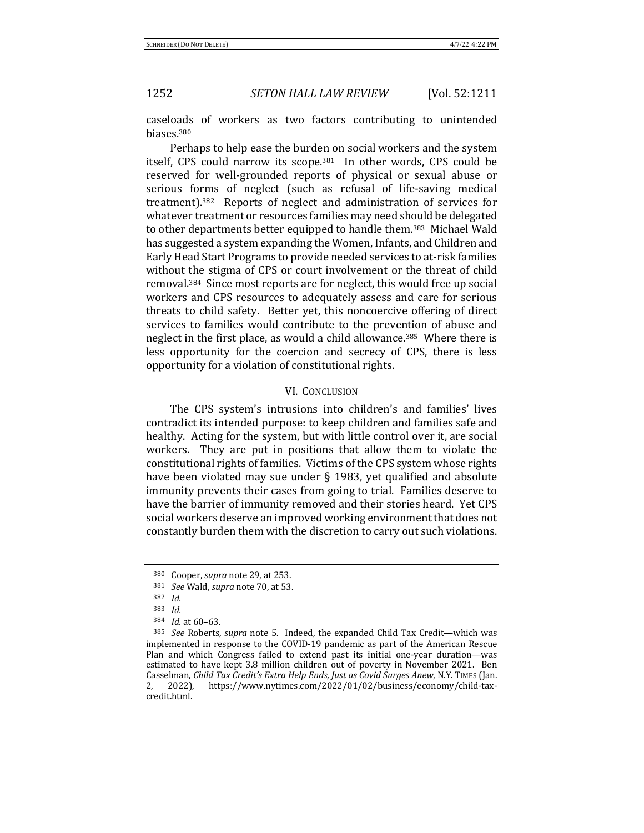caseloads of workers as two factors contributing to unintended biases.380

Perhaps to help ease the burden on social workers and the system itself, CPS could narrow its scope.<sup>381</sup> In other words, CPS could be reserved for well-grounded reports of physical or sexual abuse or serious forms of neglect (such as refusal of life-saving medical treatment).<sup>382</sup> Reports of neglect and administration of services for whatever treatment or resources families may need should be delegated to other departments better equipped to handle them.<sup>383</sup> Michael Wald has suggested a system expanding the Women, Infants, and Children and Early Head Start Programs to provide needed services to at-risk families without the stigma of CPS or court involvement or the threat of child removal.<sup>384</sup> Since most reports are for neglect, this would free up social workers and CPS resources to adequately assess and care for serious threats to child safety. Better yet, this noncoercive offering of direct services to families would contribute to the prevention of abuse and neglect in the first place, as would a child allowance.<sup>385</sup> Where there is less opportunity for the coercion and secrecy of CPS, there is less opportunity for a violation of constitutional rights.

### VI. CONCLUSION

The CPS system's intrusions into children's and families' lives contradict its intended purpose: to keep children and families safe and healthy. Acting for the system, but with little control over it, are social workers. They are put in positions that allow them to violate the constitutional rights of families. Victims of the CPS system whose rights have been violated may sue under  $\S$  1983, yet qualified and absolute immunity prevents their cases from going to trial. Families deserve to have the barrier of immunity removed and their stories heard. Yet CPS social workers deserve an improved working environment that does not constantly burden them with the discretion to carry out such violations.

<sup>380</sup> Cooper, *supra* note 29, at 253.

<sup>381</sup> *See* Wald, *supra* note 70, at 53.

<sup>382</sup> *Id.*

<sup>383</sup> *Id.*

<sup>384</sup> *Id.* at 60-63.

<sup>385</sup> *See* Roberts, *supra* note 5. Indeed, the expanded Child Tax Credit—which was implemented in response to the COVID-19 pandemic as part of the American Rescue Plan and which Congress failed to extend past its initial one-year duration—was estimated to have kept 3.8 million children out of poverty in November 2021. Ben Casselman, *Child Tax Credit's Extra Help Ends, Just as Covid Surges Anew*, N.Y. TIMES (Jan. 2, 2022), https://www.nytimes.com/2022/01/02/business/economy/child-taxcredit.html.